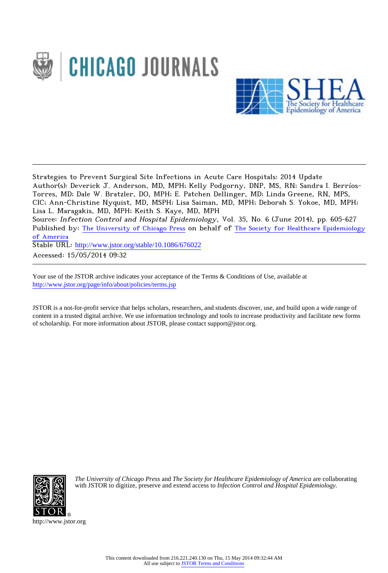



Strategies to Prevent Surgical Site Infections in Acute Care Hospitals: 2014 Update Author(s): Deverick J. Anderson, MD, MPH; Kelly Podgorny, DNP, MS, RN; Sandra I. Berríos-Torres, MD; Dale W. Bratzler, DO, MPH; E. Patchen Dellinger, MD; Linda Greene, RN, MPS, CIC; Ann-Christine Nyquist, MD, MSPH; Lisa Saiman, MD, MPH; Deborah S. Yokoe, MD, MPH; Lisa L. Maragakis, MD, MPH; Keith S. Kaye, MD, MPH Source: Infection Control and Hospital Epidemiology, Vol. 35, No. 6 (June 2014), pp. 605-627

Published by: [The University of Chicago Press](http://www.jstor.org/action/showPublisher?publisherCode=ucpress) on behalf of [The Society for Healthcare Epidemiology](http://www.jstor.org/action/showPublisher?publisherCode=shea) [of America](http://www.jstor.org/action/showPublisher?publisherCode=shea)

Stable URL: http://www.jstor.org/stable/10.1086/676022

Accessed: 15/05/2014 09:32

Your use of the JSTOR archive indicates your acceptance of the Terms & Conditions of Use, available at <http://www.jstor.org/page/info/about/policies/terms.jsp>

JSTOR is a not-for-profit service that helps scholars, researchers, and students discover, use, and build upon a wide range of content in a trusted digital archive. We use information technology and tools to increase productivity and facilitate new forms of scholarship. For more information about JSTOR, please contact support@jstor.org.



*The University of Chicago Press* and *The Society for Healthcare Epidemiology of America* are collaborating with JSTOR to digitize, preserve and extend access to *Infection Control and Hospital Epidemiology.*

http://www.jstor.org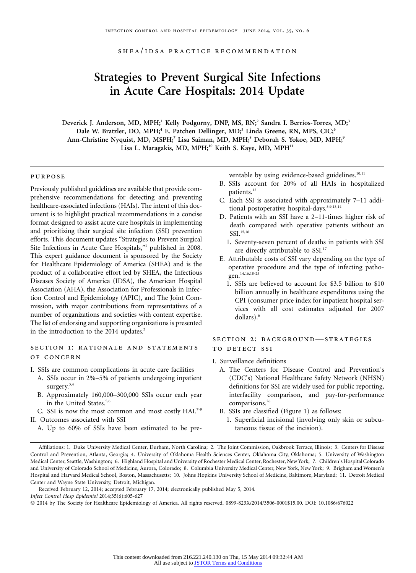shea/idsa practice recommendation

# **Strategies to Prevent Surgical Site Infections in Acute Care Hospitals: 2014 Update**

Deverick J. Anderson, MD, MPH;<sup>1</sup> Kelly Podgorny, DNP, MS, RN;<sup>2</sup> Sandra I. Berríos-Torres, MD;<sup>3</sup> Dale W. Bratzler, DO, MPH;<sup>4</sup> E. Patchen Dellinger, MD;<sup>5</sup> Linda Greene, RN, MPS, CIC;<sup>6</sup> Ann-Christine Nyquist, MD, MSPH;<sup>7</sup> Lisa Saiman, MD, MPH;<sup>8</sup> Deborah S. Yokoe, MD, MPH;<sup>9</sup> Lisa L. Maragakis, MD, MPH;<sup>10</sup> Keith S. Kaye, MD, MPH<sup>11</sup>

#### purpose

Previously published guidelines are available that provide comprehensive recommendations for detecting and preventing healthcare-associated infections (HAIs). The intent of this document is to highlight practical recommendations in a concise format designed to assist acute care hospitals in implementing and prioritizing their surgical site infection (SSI) prevention efforts. This document updates "Strategies to Prevent Surgical Site Infections in Acute Care Hospitals,"1 published in 2008. This expert guidance document is sponsored by the Society for Healthcare Epidemiology of America (SHEA) and is the product of a collaborative effort led by SHEA, the Infectious Diseases Society of America (IDSA), the American Hospital Association (AHA), the Association for Professionals in Infection Control and Epidemiology (APIC), and The Joint Commission, with major contributions from representatives of a number of organizations and societies with content expertise. The list of endorsing and supporting organizations is presented in the introduction to the 2014 updates.<sup>2</sup>

### section 1: rationale and statements of concern

- I. SSIs are common complications in acute care facilities
	- A. SSIs occur in 2%–5% of patients undergoing inpatient surgery.<sup>3,4</sup>
	- B. Approximately 160,000–300,000 SSIs occur each year in the United States.<sup>5,6</sup>
	- C. SSI is now the most common and most costly HAI.<sup>7-9</sup>
- II. Outcomes associated with SSI
	- A. Up to 60% of SSIs have been estimated to be pre-

ventable by using evidence-based guidelines.<sup>10,11</sup>

- B. SSIs account for 20% of all HAIs in hospitalized patients.<sup>12</sup>
- C. Each SSI is associated with approximately 7–11 additional postoperative hospital-days.<sup>3,9,13,14</sup>
- D. Patients with an SSI have a 2–11-times higher risk of death compared with operative patients without an SSI.<sup>15,16</sup>
	- 1. Seventy-seven percent of deaths in patients with SSI are directly attributable to SSI.<sup>17</sup>
- E. Attributable costs of SSI vary depending on the type of operative procedure and the type of infecting pathogen.14,16,18-25
	- 1. SSIs are believed to account for \$3.5 billion to \$10 billion annually in healthcare expenditures using the CPI (consumer price index for inpatient hospital services with all cost estimates adjusted for 2007 dollars).6

## section 2: background—strategies TO DETECT SSI

- I. Surveillance definitions
	- A. The Centers for Disease Control and Prevention's (CDC's) National Healthcare Safety Network (NHSN) definitions for SSI are widely used for public reporting, interfacility comparison, and pay-for-performance comparisons.<sup>26</sup>
	- B. SSIs are classified (Figure 1) as follows:
		- 1. Superficial incisional (involving only skin or subcutaneous tissue of the incision).

Affiliations: 1. Duke University Medical Center, Durham, North Carolina; 2. The Joint Commission, Oakbrook Terrace, Illinois; 3. Centers for Disease Control and Prevention, Atlanta, Georgia; 4. University of Oklahoma Health Sciences Center, Oklahoma City, Oklahoma; 5. University of Washington Medical Center, Seattle, Washington; 6. Highland Hospital and University of Rochester Medical Center, Rochester, New York; 7. Children's HospitalColorado and University of Colorado School of Medicine, Aurora, Colorado; 8. Columbia University Medical Center, New York, New York; 9. Brigham and Women's Hospital and Harvard Medical School, Boston, Massachusetts; 10. Johns Hopkins University School of Medicine, Baltimore, Maryland; 11. Detroit Medical Center and Wayne State University, Detroit, Michigan.

Received February 12, 2014; accepted February 17, 2014; electronically published May 5, 2014.

*Infect Control Hosp Epidemiol* 2014;35(6):605-627

<sup>-</sup> 2014 by The Society for Healthcare Epidemiology of America. All rights reserved. 0899-823X/2014/3506-0001\$15.00. DOI: 10.1086/676022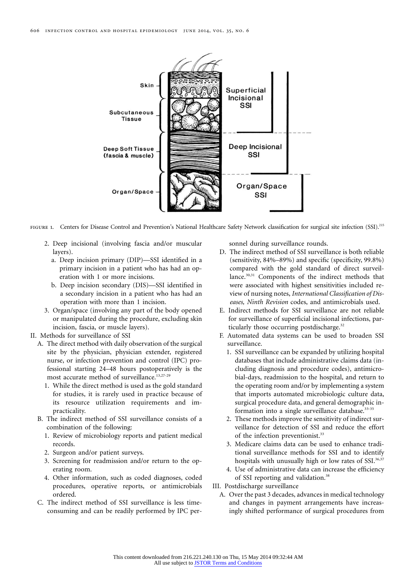

FIGURE 1. Centers for Disease Control and Prevention's National Healthcare Safety Network classification for surgical site infection (SSI).<sup>215</sup>

- 2. Deep incisional (involving fascia and/or muscular layers).
	- a. Deep incision primary (DIP)—SSI identified in a primary incision in a patient who has had an operation with 1 or more incisions.
	- b. Deep incision secondary (DIS)—SSI identified in a secondary incision in a patient who has had an operation with more than 1 incision.
- 3. Organ/space (involving any part of the body opened or manipulated during the procedure, excluding skin incision, fascia, or muscle layers).
- II. Methods for surveillance of SSI
	- A. The direct method with daily observation of the surgical site by the physician, physician extender, registered nurse, or infection prevention and control (IPC) professional starting 24–48 hours postoperatively is the most accurate method of surveillance.<sup>13,27-29</sup>
		- 1. While the direct method is used as the gold standard for studies, it is rarely used in practice because of its resource utilization requirements and impracticality.
	- B. The indirect method of SSI surveillance consists of a combination of the following:
		- 1. Review of microbiology reports and patient medical records.
		- 2. Surgeon and/or patient surveys.
		- 3. Screening for readmission and/or return to the operating room.
		- 4. Other information, such as coded diagnoses, coded procedures, operative reports, or antimicrobials ordered.
	- C. The indirect method of SSI surveillance is less timeconsuming and can be readily performed by IPC per-

sonnel during surveillance rounds.

- D. The indirect method of SSI surveillance is both reliable (sensitivity, 84%–89%) and specific (specificity, 99.8%) compared with the gold standard of direct surveillance.<sup>30,31</sup> Components of the indirect methods that were associated with highest sensitivities included review of nursing notes, *International Classification of Diseases, Ninth Revision* codes, and antimicrobials used.
- E. Indirect methods for SSI surveillance are not reliable for surveillance of superficial incisional infections, particularly those occurring postdischarge.<sup>32</sup>
- F. Automated data systems can be used to broaden SSI surveillance.
	- 1. SSI surveillance can be expanded by utilizing hospital databases that include administrative claims data (including diagnosis and procedure codes), antimicrobial-days, readmission to the hospital, and return to the operating room and/or by implementing a system that imports automated microbiologic culture data, surgical procedure data, and general demographic information into a single surveillance database.<sup>33-35</sup>
	- 2. These methods improve the sensitivity of indirect surveillance for detection of SSI and reduce the effort of the infection preventionist.<sup>33</sup>
	- 3. Medicare claims data can be used to enhance traditional surveillance methods for SSI and to identify hospitals with unusually high or low rates of SSI.<sup>36,37</sup>
	- 4. Use of administrative data can increase the efficiency of SSI reporting and validation.<sup>38</sup>
- III. Postdischarge surveillance
	- A. Over the past 3 decades, advances in medical technology and changes in payment arrangements have increasingly shifted performance of surgical procedures from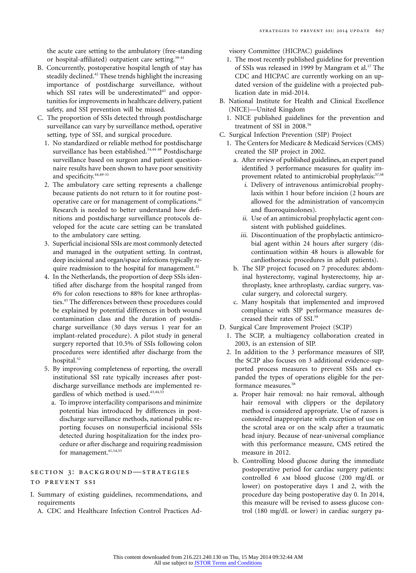the acute care setting to the ambulatory (free-standing or hospital-affiliated) outpatient care setting.<sup>39-41</sup>

- B. Concurrently, postoperative hospital length of stay has steadily declined.<sup>42</sup> These trends highlight the increasing importance of postdischarge surveillance, without which SSI rates will be underestimated $43$  and opportunities for improvements in healthcare delivery, patient safety, and SSI prevention will be missed.
- C. The proportion of SSIs detected through postdischarge surveillance can vary by surveillance method, operative setting, type of SSI, and surgical procedure.
	- 1. No standardized or reliable method for postdischarge surveillance has been established.<sup>34,44-48</sup> Postdischarge surveillance based on surgeon and patient questionnaire results have been shown to have poor sensitivity and specificity.<sup>44,49-51</sup>
	- 2. The ambulatory care setting represents a challenge because patients do not return to it for routine postoperative care or for management of complications.<sup>41</sup> Research is needed to better understand how definitions and postdischarge surveillance protocols developed for the acute care setting can be translated to the ambulatory care setting.
	- 3. Superficial incisional SSIs are most commonly detected and managed in the outpatient setting. In contrast, deep incisional and organ/space infections typically require readmission to the hospital for management.<sup>32</sup>
	- 4. In the Netherlands, the proportion of deep SSIs identified after discharge from the hospital ranged from 6% for colon resections to 88% for knee arthroplasties.<sup>43</sup> The differences between these procedures could be explained by potential differences in both wound contamination class and the duration of postdischarge surveillance (30 days versus 1 year for an implant-related procedure). A pilot study in general surgery reported that 10.5% of SSIs following colon procedures were identified after discharge from the hospital.<sup>52</sup>
	- 5. By improving completeness of reporting, the overall institutional SSI rate typically increases after postdischarge surveillance methods are implemented regardless of which method is used.<sup>43,44,53</sup>
		- a. To improve interfacility comparisons and minimize potential bias introduced by differences in postdischarge surveillance methods, national public reporting focuses on nonsuperficial incisional SSIs detected during hospitalization for the index procedure or after discharge and requiring readmission for management.<sup>41,54,55</sup>

# section 3: background—strategies

## to prevent ssi

- I. Summary of existing guidelines, recommendations, and requirements
	- A. CDC and Healthcare Infection Control Practices Ad-

visory Committee (HICPAC) guidelines

- 1. The most recently published guideline for prevention of SSIs was released in 1999 by Mangram et al.<sup>17</sup> The CDC and HICPAC are currently working on an updated version of the guideline with a projected publication date in mid-2014.
- B. National Institute for Health and Clinical Excellence (NICE)—United Kingdom
	- 1. NICE published guidelines for the prevention and treatment of SSI in 2008.<sup>56</sup>
- C. Surgical Infection Prevention (SIP) Project
	- 1. The Centers for Medicare & Medicaid Services (CMS) created the SIP project in 2002.
		- a. After review of published guidelines, an expert panel identified 3 performance measures for quality improvement related to antimicrobial prophylaxis: 57,58
			- *i*. Delivery of intravenous antimicrobial prophylaxis within 1 hour before incision (2 hours are allowed for the administration of vancomycin and fluoroquinolones).
			- *ii*. Use of an antimicrobial prophylactic agent consistent with published guidelines.
			- *iii*. Discontinuation of the prophylactic antimicrobial agent within 24 hours after surgery (discontinuation within 48 hours is allowable for cardiothoracic procedures in adult patients).
		- b. The SIP project focused on 7 procedures: abdominal hysterectomy, vaginal hysterectomy, hip arthroplasty, knee arthroplasty, cardiac surgery, vascular surgery, and colorectal surgery.
		- c. Many hospitals that implemented and improved compliance with SIP performance measures decreased their rates of SSI.59
- D. Surgical Care Improvement Project (SCIP)
	- 1. The SCIP, a multiagency collaboration created in 2003, is an extension of SIP.
	- 2. In addition to the 3 performance measures of SIP, the SCIP also focuses on 3 additional evidence-supported process measures to prevent SSIs and expanded the types of operations eligible for the performance measures.<sup>58</sup>
		- a. Proper hair removal: no hair removal, although hair removal with clippers or the depilatory method is considered appropriate. Use of razors is considered inappropriate with exception of use on the scrotal area or on the scalp after a traumatic head injury. Because of near-universal compliance with this performance measure, CMS retired the measure in 2012.
		- b. Controlling blood glucose during the immediate postoperative period for cardiac surgery patients: controlled 6 am blood glucose (200 mg/dL or lower) on postoperative days 1 and 2, with the procedure day being postoperative day 0. In 2014, this measure will be revised to assess glucose control (180 mg/dL or lower) in cardiac surgery pa-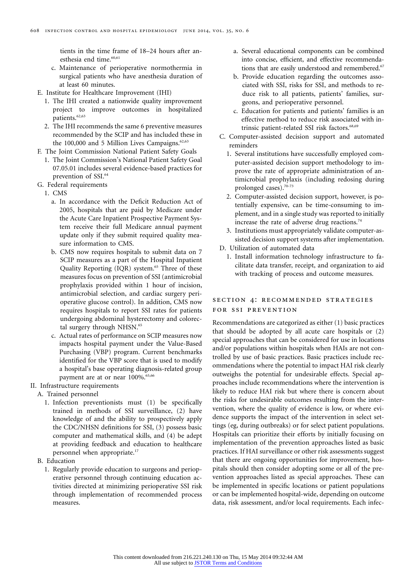tients in the time frame of 18–24 hours after anesthesia end time.<sup>60,61</sup>

- c. Maintenance of perioperative normothermia in surgical patients who have anesthesia duration of at least 60 minutes.
- E. Institute for Healthcare Improvement (IHI)
	- 1. The IHI created a nationwide quality improvement project to improve outcomes in hospitalized patients.<sup>62,63</sup>
	- 2. The IHI recommends the same 6 preventive measures recommended by the SCIP and has included these in the 100,000 and 5 Million Lives Campaigns. $62,63$
- F. The Joint Commission National Patient Safety Goals
	- 1. The Joint Commission's National Patient Safety Goal 07.05.01 includes several evidence-based practices for prevention of SSI.<sup>64</sup>
- G. Federal requirements
	- 1. CMS
		- a. In accordance with the Deficit Reduction Act of 2005, hospitals that are paid by Medicare under the Acute Care Inpatient Prospective Payment System receive their full Medicare annual payment update only if they submit required quality measure information to CMS.
		- b. CMS now requires hospitals to submit data on 7 SCIP measures as a part of the Hospital Inpatient Quality Reporting (IQR) system.<sup>65</sup> Three of these measures focus on prevention of SSI (antimicrobial prophylaxis provided within 1 hour of incision, antimicrobial selection, and cardiac surgery perioperative glucose control). In addition, CMS now requires hospitals to report SSI rates for patients undergoing abdominal hysterectomy and colorectal surgery through NHSN.<sup>65</sup>
		- c. Actual rates of performance on SCIP measures now impacts hospital payment under the Value-Based Purchasing (VBP) program. Current benchmarks identified for the VBP score that is used to modify a hospital's base operating diagnosis-related group payment are at or near 100%.<sup>65,66</sup>
- II. Infrastructure requirements
	- A. Trained personnel
		- 1. Infection preventionists must (1) be specifically trained in methods of SSI surveillance, (2) have knowledge of and the ability to prospectively apply the CDC/NHSN definitions for SSI, (3) possess basic computer and mathematical skills, and (4) be adept at providing feedback and education to healthcare personnel when appropriate.<sup>17</sup>
	- B. Education
		- 1. Regularly provide education to surgeons and perioperative personnel through continuing education activities directed at minimizing perioperative SSI risk through implementation of recommended process measures.
- a. Several educational components can be combined into concise, efficient, and effective recommendations that are easily understood and remembered.<sup>67</sup>
- b. Provide education regarding the outcomes associated with SSI, risks for SSI, and methods to reduce risk to all patients, patients' families, surgeons, and perioperative personnel.
- c. Education for patients and patients' families is an effective method to reduce risk associated with intrinsic patient-related SSI risk factors.<sup>68,69</sup>
- C. Computer-assisted decision support and automated reminders
	- 1. Several institutions have successfully employed computer-assisted decision support methodology to improve the rate of appropriate administration of antimicrobial prophylaxis (including redosing during prolonged cases).70-73
	- 2. Computer-assisted decision support, however, is potentially expensive, can be time-consuming to implement, and in a single study was reported to initially increase the rate of adverse drug reactions.<sup>74</sup>
	- 3. Institutions must appropriately validate computer-assisted decision support systems after implementation.
- D. Utilization of automated data
	- 1. Install information technology infrastructure to facilitate data transfer, receipt, and organization to aid with tracking of process and outcome measures.

# section 4: recommended strategies for ssi prevention

Recommendations are categorized as either (1) basic practices that should be adopted by all acute care hospitals or (2) special approaches that can be considered for use in locations and/or populations within hospitals when HAIs are not controlled by use of basic practices. Basic practices include recommendations where the potential to impact HAI risk clearly outweighs the potential for undesirable effects. Special approaches include recommendations where the intervention is likely to reduce HAI risk but where there is concern about the risks for undesirable outcomes resulting from the intervention, where the quality of evidence is low, or where evidence supports the impact of the intervention in select settings (eg, during outbreaks) or for select patient populations. Hospitals can prioritize their efforts by initially focusing on implementation of the prevention approaches listed as basic practices. If HAI surveillance or other risk assessments suggest that there are ongoing opportunities for improvement, hospitals should then consider adopting some or all of the prevention approaches listed as special approaches. These can be implemented in specific locations or patient populations or can be implemented hospital-wide, depending on outcome data, risk assessment, and/or local requirements. Each infec-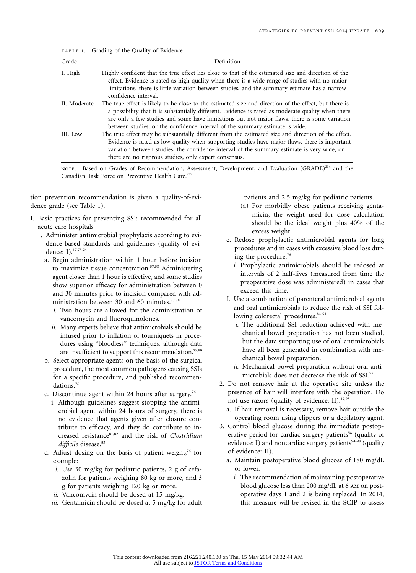| Grade        | Definition                                                                                                                                                                                                                                                                                                                                                                                   |
|--------------|----------------------------------------------------------------------------------------------------------------------------------------------------------------------------------------------------------------------------------------------------------------------------------------------------------------------------------------------------------------------------------------------|
| I. High      | Highly confident that the true effect lies close to that of the estimated size and direction of the<br>effect. Evidence is rated as high quality when there is a wide range of studies with no major<br>limitations, there is little variation between studies, and the summary estimate has a narrow<br>confidence interval.                                                                |
| II. Moderate | The true effect is likely to be close to the estimated size and direction of the effect, but there is<br>a possibility that it is substantially different. Evidence is rated as moderate quality when there<br>are only a few studies and some have limitations but not major flaws, there is some variation<br>between studies, or the confidence interval of the summary estimate is wide. |
| III. Low     | The true effect may be substantially different from the estimated size and direction of the effect.<br>Evidence is rated as low quality when supporting studies have major flaws, there is important<br>variation between studies, the confidence interval of the summary estimate is very wide, or<br>there are no rigorous studies, only expert consensus.                                 |

TABLE 1. Grading of the Quality of Evidence

note. Based on Grades of Recommendation, Assessment, Development, and Evaluation (GRADE)<sup>234</sup> and the Canadian Task Force on Preventive Health Care.<sup>235</sup>

tion prevention recommendation is given a quality-of-evidence grade (see Table 1).

- I. Basic practices for preventing SSI: recommended for all acute care hospitals
	- 1. Administer antimicrobial prophylaxis according to evidence-based standards and guidelines (quality of evidence: I).17,75,76
		- a. Begin administration within 1 hour before incision to maximize tissue concentration.<sup>57,58</sup> Administering agent closer than 1 hour is effective, and some studies show superior efficacy for administration between 0 and 30 minutes prior to incision compared with administration between 30 and 60 minutes.<sup>77,78</sup>
			- *i*. Two hours are allowed for the administration of vancomycin and fluoroquinolones.
			- *ii*. Many experts believe that antimicrobials should be infused prior to inflation of tourniquets in procedures using "bloodless" techniques, although data are insufficient to support this recommendation.<sup>79,80</sup>
		- b. Select appropriate agents on the basis of the surgical procedure, the most common pathogens causing SSIs for a specific procedure, and published recommendations.<sup>76</sup>
		- c. Discontinue agent within 24 hours after surgery.76
		- i. Although guidelines suggest stopping the antimicrobial agent within 24 hours of surgery, there is no evidence that agents given after closure contribute to efficacy, and they do contribute to increased resistance81,82 and the risk of *Clostridium* difficile disease.<sup>83</sup>
		- d. Adjust dosing on the basis of patient weight;<sup>76</sup> for example:
			- *i*. Use 30 mg/kg for pediatric patients, 2 g of cefazolin for patients weighing 80 kg or more, and 3 g for patients weighing 120 kg or more.
			- *ii*. Vancomycin should be dosed at 15 mg/kg.
			- *iii*. Gentamicin should be dosed at 5 mg/kg for adult

patients and 2.5 mg/kg for pediatric patients.

- (a) For morbidly obese patients receiving gentamicin, the weight used for dose calculation should be the ideal weight plus 40% of the excess weight.
- e. Redose prophylactic antimicrobial agents for long procedures and in cases with excessive blood loss during the procedure.<sup>76</sup>
	- *i*. Prophylactic antimicrobials should be redosed at intervals of 2 half-lives (measured from time the preoperative dose was administered) in cases that exceed this time.
- f. Use a combination of parenteral antimicrobial agents and oral antimicrobials to reduce the risk of SSI following colorectal procedures.<sup>84-91</sup>
	- *i*. The additional SSI reduction achieved with mechanical bowel preparation has not been studied, but the data supporting use of oral antimicrobials have all been generated in combination with mechanical bowel preparation.
	- *ii*. Mechanical bowel preparation without oral antimicrobials does not decrease the risk of SSI.<sup>92</sup>
- 2. Do not remove hair at the operative site unless the presence of hair will interfere with the operation. Do not use razors (quality of evidence: II).<sup>17,93</sup>
	- a. If hair removal is necessary, remove hair outside the operating room using clippers or a depilatory agent.
- 3. Control blood glucose during the immediate postoperative period for cardiac surgery patients<sup>58</sup> (quality of evidence: I) and noncardiac surgery patients<sup>94-98</sup> (quality of evidence: II).
	- a. Maintain postoperative blood glucose of 180 mg/dL or lower.
		- *i*. The recommendation of maintaining postoperative blood glucose less than 200 mg/dL at 6 am on postoperative days 1 and 2 is being replaced. In 2014, this measure will be revised in the SCIP to assess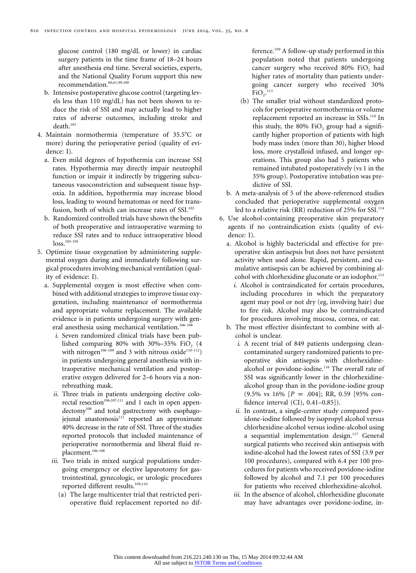glucose control (180 mg/dL or lower) in cardiac surgery patients in the time frame of 18–24 hours after anesthesia end time. Several societies, experts, and the National Quality Forum support this new recommendation.<sup>60,61,99,100</sup>

- b. Intensive postoperative glucose control (targeting levels less than 110 mg/dL) has not been shown to reduce the risk of SSI and may actually lead to higher rates of adverse outcomes, including stroke and death.<sup>101</sup>
- 4. Maintain normothermia (temperature of 35.5°C or more) during the perioperative period (quality of evidence: I).
	- a. Even mild degrees of hypothermia can increase SSI rates. Hypothermia may directly impair neutrophil function or impair it indirectly by triggering subcutaneous vasoconstriction and subsequent tissue hypoxia. In addition, hypothermia may increase blood loss, leading to wound hematomas or need for transfusion, both of which can increase rates of SSI.<sup>102</sup>
	- b. Randomized controlled trials have shown the benefits of both preoperative and intraoperative warming to reduce SSI rates and to reduce intraoperative blood loss.<sup>103-105</sup>
- 5. Optimize tissue oxygenation by administering supplemental oxygen during and immediately following surgical procedures involving mechanical ventilation (quality of evidence: I).
	- a. Supplemental oxygen is most effective when combined with additional strategies to improve tissue oxygenation, including maintenance of normothermia and appropriate volume replacement. The available evidence is in patients undergoing surgery with general anesthesia using mechanical ventilation.<sup>106-108</sup>
		- *i*. Seven randomized clinical trials have been published comparing  $80\%$  with  $30\% - 35\%$  FiO<sub>2</sub> (4 with nitrogen<sup>106-109</sup> and 3 with nitrous oxide<sup>110-112</sup>) in patients undergoing general anesthesia with intraoperative mechanical ventilation and postoperative oxygen delivered for 2–6 hours via a nonrebreathing mask.
		- *ii*. Three trials in patients undergoing elective colorectal resection<sup>106,107,111</sup> and 1 each in open appendectomy<sup>108</sup> and total gastrectomy with esophagojejunal anastomosis<sup>112</sup> reported an approximate 40% decrease in the rate of SSI. Three of the studies reported protocols that included maintenance of perioperative normothermia and liberal fluid replacement.106-108
		- *iii*. Two trials in mixed surgical populations undergoing emergency or elective laparotomy for gastrointestinal, gynecologic, or urologic procedures reported different results.<sup>109,110</sup>
			- (a) The large multicenter trial that restricted perioperative fluid replacement reported no dif-

ference.<sup>109</sup> A follow-up study performed in this population noted that patients undergoing cancer surgery who received 80%  $FiO<sub>2</sub>$  had higher rates of mortality than patients undergoing cancer surgery who received 30%  $FiO_2$ <sup>113</sup>

- (b) The smaller trial without standardized protocols for perioperative normothermia or volume replacement reported an increase in SSIs.110 In this study, the 80%  $FiO<sub>2</sub>$  group had a significantly higher proportion of patients with high body mass index (more than 30), higher blood loss, more crystalloid infused, and longer operations. This group also had 5 patients who remained intubated postoperatively (vs 1 in the 35% group). Postoperative intubation was predictive of SSI.
- b. A meta-analysis of 5 of the above-referenced studies concluded that perioperative supplemental oxygen led to a relative risk (RR) reduction of 25% for SSI.<sup>114</sup>
- 6. Use alcohol-containing preoperative skin preparatory agents if no contraindication exists (quality of evidence: I).
	- a. Alcohol is highly bactericidal and effective for preoperative skin antisepsis but does not have persistent activity when used alone. Rapid, persistent, and cumulative antisepsis can be achieved by combining alcohol with chlorhexidine gluconate or an iodophor.<sup>115</sup>
		- *i*. Alcohol is contraindicated for certain procedures, including procedures in which the preparatory agent may pool or not dry (eg, involving hair) due to fire risk. Alcohol may also be contraindicated for procedures involving mucosa, cornea, or ear.
	- b. The most effective disinfectant to combine with alcohol is unclear.
		- *i*. A recent trial of 849 patients undergoing cleancontaminated surgery randomized patients to preoperative skin antisepsis with chlorhexidinealcohol or povidone-iodine.<sup>116</sup> The overall rate of SSI was significantly lower in the chlorhexidinealcohol group than in the povidone-iodine group (9.5% vs 16% [ $P = .004$ ]; RR, 0.59 [95% confidence interval (CI), 0.41–0.85]).
		- *ii*. In contrast, a single-center study compared povidone-iodine followed by isopropyl alcohol versus chlorhexidine-alcohol versus iodine-alcohol using a sequential implementation design.<sup>117</sup> General surgical patients who received skin antisepsis with iodine-alcohol had the lowest rates of SSI (3.9 per 100 procedures), compared with 6.4 per 100 procedures for patients who received povidone-iodine followed by alcohol and 7.1 per 100 procedures for patients who received chlorhexidine-alcohol.
		- *iii*. In the absence of alcohol, chlorhexidine gluconate may have advantages over povidone-iodine, in-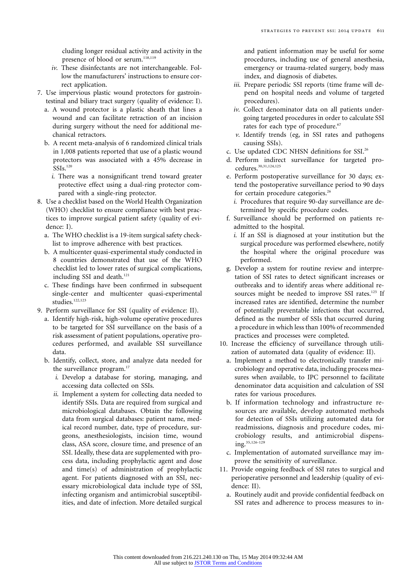cluding longer residual activity and activity in the presence of blood or serum.<sup>118,119</sup>

- *iv*. These disinfectants are not interchangeable. Follow the manufacturers' instructions to ensure correct application.
- 7. Use impervious plastic wound protectors for gastrointestinal and biliary tract surgery (quality of evidence: I).
	- a. A wound protector is a plastic sheath that lines a wound and can facilitate retraction of an incision during surgery without the need for additional mechanical retractors.
	- b. A recent meta-analysis of 6 randomized clinical trials in 1,008 patients reported that use of a plastic wound protectors was associated with a 45% decrease in SSIs.120
		- *i*. There was a nonsignificant trend toward greater protective effect using a dual-ring protector compared with a single-ring protector.
- 8. Use a checklist based on the World Health Organization (WHO) checklist to ensure compliance with best practices to improve surgical patient safety (quality of evidence: I).
	- a. The WHO checklist is a 19-item surgical safety checklist to improve adherence with best practices.
	- b. A multicenter quasi-experimental study conducted in 8 countries demonstrated that use of the WHO checklist led to lower rates of surgical complications, including SSI and death.<sup>121</sup>
	- c. These findings have been confirmed in subsequent single-center and multicenter quasi-experimental studies.<sup>122,123</sup>
- 9. Perform surveillance for SSI (quality of evidence: II).
	- a. Identify high-risk, high-volume operative procedures to be targeted for SSI surveillance on the basis of a risk assessment of patient populations, operative procedures performed, and available SSI surveillance data.
	- b. Identify, collect, store, and analyze data needed for the surveillance program.<sup>17</sup>
		- *i*. Develop a database for storing, managing, and accessing data collected on SSIs.
		- *ii*. Implement a system for collecting data needed to identify SSIs. Data are required from surgical and microbiological databases. Obtain the following data from surgical databases: patient name, medical record number, date, type of procedure, surgeons, anesthesiologists, incision time, wound class, ASA score, closure time, and presence of an SSI. Ideally, these data are supplemented with process data, including prophylactic agent and dose and time(s) of administration of prophylactic agent. For patients diagnosed with an SSI, necessary microbiological data include type of SSI, infecting organism and antimicrobial susceptibilities, and date of infection. More detailed surgical

and patient information may be useful for some procedures, including use of general anesthesia, emergency or trauma-related surgery, body mass index, and diagnosis of diabetes.

- *iii*. Prepare periodic SSI reports (time frame will depend on hospital needs and volume of targeted procedures).
- *iv*. Collect denominator data on all patients undergoing targeted procedures in order to calculate SSI rates for each type of procedure.<sup>67</sup>
- *v*. Identify trends (eg, in SSI rates and pathogens causing SSIs).
- c. Use updated CDC NHSN definitions for SSI.26
- d. Perform indirect surveillance for targeted procedures.<sup>30,31,124,125</sup>
- e. Perform postoperative surveillance for 30 days; extend the postoperative surveillance period to 90 days for certain procedure categories.<sup>26</sup>
	- *i*. Procedures that require 90-day surveillance are determined by specific procedure codes.
- f. Surveillance should be performed on patients readmitted to the hospital.
	- *i*. If an SSI is diagnosed at your institution but the surgical procedure was performed elsewhere, notify the hospital where the original procedure was performed.
- g. Develop a system for routine review and interpretation of SSI rates to detect significant increases or outbreaks and to identify areas where additional resources might be needed to improve SSI rates.<sup>125</sup> If increased rates are identified, determine the number of potentially preventable infections that occurred, defined as the number of SSIs that occurred during a procedure in which less than 100% of recommended practices and processes were completed.
- 10. Increase the efficiency of surveillance through utilization of automated data (quality of evidence: II).
	- a. Implement a method to electronically transfer microbiology and operative data, including process measures when available, to IPC personnel to facilitate denominator data acquisition and calculation of SSI rates for various procedures.
	- b. If information technology and infrastructure resources are available, develop automated methods for detection of SSIs utilizing automated data for readmissions, diagnosis and procedure codes, microbiology results, and antimicrobial dispensing.35,126-129
	- c. Implementation of automated surveillance may improve the sensitivity of surveillance.
- 11. Provide ongoing feedback of SSI rates to surgical and perioperative personnel and leadership (quality of evidence: II).
	- a. Routinely audit and provide confidential feedback on SSI rates and adherence to process measures to in-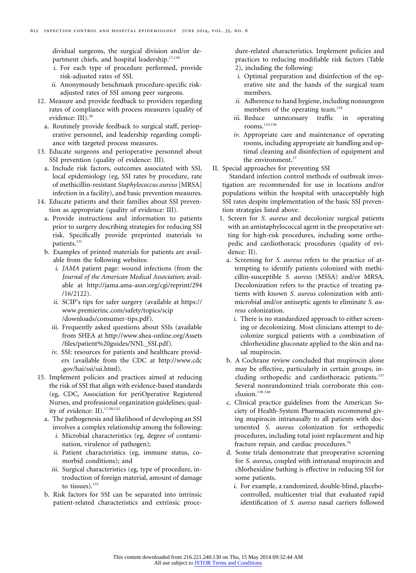dividual surgeons, the surgical division and/or department chiefs, and hospital leadership.<sup>17,130</sup>

- *i*. For each type of procedure performed, provide risk-adjusted rates of SSI.
- *ii*. Anonymously benchmark procedure-specific riskadjusted rates of SSI among peer surgeons.
- 12. Measure and provide feedback to providers regarding rates of compliance with process measures (quality of evidence: III).<sup>58</sup>
	- a. Routinely provide feedback to surgical staff, perioperative personnel, and leadership regarding compliance with targeted process measures.
- 13. Educate surgeons and perioperative personnel about SSI prevention (quality of evidence: III).
	- a. Include risk factors, outcomes associated with SSI, local epidemiology (eg, SSI rates by procedure, rate of methicillin-resistant *Staphylococcus aureus* [MRSA] infection in a facility), and basic prevention measures.
- 14. Educate patients and their families about SSI prevention as appropriate (quality of evidence: III).
	- a. Provide instructions and information to patients prior to surgery describing strategies for reducing SSI risk. Specifically provide preprinted materials to patients.<sup>131</sup>
	- b. Examples of printed materials for patients are available from the following websites:
		- *i*. *JAMA* patient page: wound infections (from the *Journal of the American Medical Association*; available at [http://jama.ama-assn.org/cgi/reprint/294](http://jama.ama-assn.org/cgi/reprint/294/16/2122) [/16/2122\)](http://jama.ama-assn.org/cgi/reprint/294/16/2122).
		- *ii*. SCIP's tips for safer surgery (available at [https://](https://www.premierinc.com/safety/topics/scip/downloads/consumer-tips.pdf) [www.premierinc.com/safety/topics/scip](https://www.premierinc.com/safety/topics/scip/downloads/consumer-tips.pdf) [/downloads/consumer-tips.pdf\)](https://www.premierinc.com/safety/topics/scip/downloads/consumer-tips.pdf).
		- *iii*. Frequently asked questions about SSIs (available from SHEA at [http://www.shea-online.org/Assets](http://www.shea-online.org/Assets/files/patient%20guides/NNL_SSI.pdf) [/files/patient%20guides/NNL\\_SSI.pdf\)](http://www.shea-online.org/Assets/files/patient%20guides/NNL_SSI.pdf).
		- *iv*. SSI: resources for patients and healthcare providers (available from the CDC at [http://www.cdc](http://www.cdc.gov/hai/ssi/ssi.html) [.gov/hai/ssi/ssi.html\)](http://www.cdc.gov/hai/ssi/ssi.html).
- 15. Implement policies and practices aimed at reducing the risk of SSI that align with evidence-based standards (eg, CDC, Association for periOperative Registered Nurses, and professional organization guidelines; quality of evidence: II).<sup>17,58,132</sup>
	- a. The pathogenesis and likelihood of developing an SSI involves a complex relationship among the following:
		- *i*. Microbial characteristics (eg, degree of contamination, virulence of pathogen);
		- *ii*. Patient characteristics (eg, immune status, comorbid conditions); and
		- *iii*. Surgical characteristics (eg, type of procedure, introduction of foreign material, amount of damage to tissues). $133$
	- b. Risk factors for SSI can be separated into intrinsic patient-related characteristics and extrinsic proce-

dure-related characteristics. Implement policies and practices to reducing modifiable risk factors (Table 2), including the following:

- *i*. Optimal preparation and disinfection of the operative site and the hands of the surgical team members.
- *ii*. Adherence to hand hygiene, including nonsurgeon members of the operating team.<sup>134</sup>
- *iii*. Reduce unnecessary traffic in operating rooms.135,136
- *iv*. Appropriate care and maintenance of operating rooms, including appropriate air handling and optimal cleaning and disinfection of equipment and the environment.<sup>17</sup>
- II. Special approaches for preventing SSI

Standard infection control methods of outbreak investigation are recommended for use in locations and/or populations within the hospital with unacceptably high SSI rates despite implementation of the basic SSI prevention strategies listed above.

- 1. Screen for *S. aureus* and decolonize surgical patients with an antistaphylococcal agent in the preoperative setting for high-risk procedures, including some orthopedic and cardiothoracic procedures (quality of evidence: II).
	- a. Screening for *S. aureus* refers to the practice of attempting to identify patients colonized with methicillin-susceptible *S. aureus* (MSSA) and/or MRSA. Decolonization refers to the practice of treating patients with known *S. aureus* colonization with antimicrobial and/or antiseptic agents to eliminate *S. aureus* colonization.
		- *i*. There is no standardized approach to either screening or decolonizing. Most clinicians attempt to decolonize surgical patients with a combination of chlorhexidine gluconate applied to the skin and nasal mupirocin.
	- b. A Cochrane review concluded that mupirocin alone may be effective, particularly in certain groups, including orthopedic and cardiothoracic patients.<sup>137</sup> Several nonrandomized trials corroborate this conclusion.<sup>138-140</sup>
	- c. Clinical practice guidelines from the American Society of Health-System Pharmacists recommend giving mupirocin intranasally to all patients with documented *S. aureus* colonization for orthopedic procedures, including total joint replacement and hip fracture repair, and cardiac procedures.<sup>76</sup>
	- d. Some trials demonstrate that preoperative screening for *S. aureus*, coupled with intranasal mupirocin and chlorhexidine bathing is effective in reducing SSI for some patients.
		- *i*. For example, a randomized, double-blind, placebocontrolled, multicenter trial that evaluated rapid identification of *S. aureus* nasal carriers followed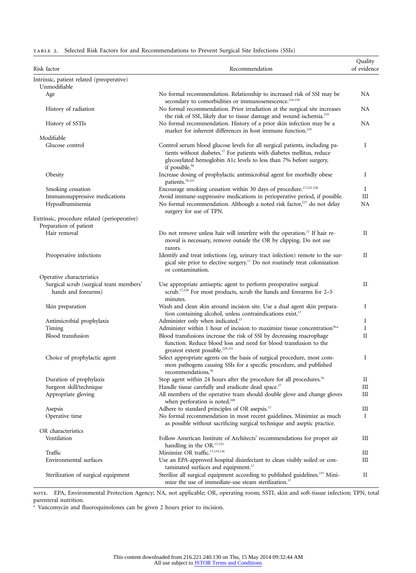|  |  |  |  |  |  | TABLE 2. Selected Risk Factors for and Recommendations to Prevent Surgical Site Infections (SSIs) |  |  |  |  |  |  |  |  |
|--|--|--|--|--|--|---------------------------------------------------------------------------------------------------|--|--|--|--|--|--|--|--|
|--|--|--|--|--|--|---------------------------------------------------------------------------------------------------|--|--|--|--|--|--|--|--|

| Risk factor                                                   | Recommendation                                                                                                                                                                                                                          | Quality<br>of evidence |
|---------------------------------------------------------------|-----------------------------------------------------------------------------------------------------------------------------------------------------------------------------------------------------------------------------------------|------------------------|
| Intrinsic, patient related (preoperative)<br>Unmodifiable     |                                                                                                                                                                                                                                         |                        |
| Age                                                           | No formal recommendation. Relationship to increased risk of SSI may be<br>secondary to comorbidities or immunosenescence. <sup>216-218</sup>                                                                                            | NA                     |
| History of radiation                                          | No formal recommendation. Prior irradiation at the surgical site increases<br>the risk of SSI, likely due to tissue damage and wound ischemia. <sup>219</sup>                                                                           | NA                     |
| History of SSTIs                                              | No formal recommendation. History of a prior skin infection may be a<br>marker for inherent differences in host immune function. <sup>220</sup>                                                                                         | <b>NA</b>              |
| Modifiable                                                    |                                                                                                                                                                                                                                         |                        |
| Glucose control                                               | Control serum blood glucose levels for all surgical patients, including pa-<br>tients without diabetes. <sup>17</sup> For patients with diabetes mellitus, reduce<br>glycosylated hemoglobin A1c levels to less than 7% before surgery, | I                      |
| Obesity                                                       | if possible. <sup>94</sup><br>Increase dosing of prophylactic antimicrobial agent for morbidly obese                                                                                                                                    | I                      |
|                                                               | patients. <sup>76,221</sup>                                                                                                                                                                                                             |                        |
| Smoking cessation                                             | Encourage smoking cessation within 30 days of procedure. <sup>17,222-226</sup>                                                                                                                                                          | Ι                      |
| Immunosuppressive medications                                 | Avoid immune-suppressive medications in perioperative period, if possible.                                                                                                                                                              | III                    |
| Hypoalbuminemia                                               | No formal recommendation. Although a noted risk factor, <sup>227</sup> do not delay<br>surgery for use of TPN.                                                                                                                          | <b>NA</b>              |
| Extrinsic, procedure related (perioperative)                  |                                                                                                                                                                                                                                         |                        |
| Preparation of patient                                        |                                                                                                                                                                                                                                         |                        |
| Hair removal                                                  | Do not remove unless hair will interfere with the operation. <sup>17</sup> If hair re-<br>moval is necessary, remove outside the OR by clipping. Do not use<br>razors.                                                                  | П                      |
| Preoperative infections                                       | Identify and treat infections (eg, urinary tract infection) remote to the sur-<br>gical site prior to elective surgery. <sup>17</sup> Do not routinely treat colonization<br>or contamination.                                          | П                      |
| Operative characteristics                                     |                                                                                                                                                                                                                                         |                        |
| Surgical scrub (surgical team members'<br>hands and forearms) | Use appropriate antiseptic agent to perform preoperative surgical<br>scrub. <sup>17,228</sup> For most products, scrub the hands and forearms for 2-5<br>minutes.                                                                       | П                      |
| Skin preparation                                              | Wash and clean skin around incision site. Use a dual agent skin prepara-<br>tion containing alcohol, unless contraindications exist. <sup>17</sup>                                                                                      | I                      |
| Antimicrobial prophylaxis                                     | Administer only when indicated. <sup>17</sup>                                                                                                                                                                                           | Ι                      |
| Timing                                                        | Administer within 1 hour of incision to maximize tissue concentration <sup>76,a</sup>                                                                                                                                                   | I                      |
| Blood transfusion                                             | Blood transfusions increase the risk of SSI by decreasing macrophage<br>function. Reduce blood loss and need for blood transfusion to the<br>greatest extent possible. <sup>229-231</sup>                                               | П                      |
| Choice of prophylactic agent                                  | Select appropriate agents on the basis of surgical procedure, most com-<br>mon pathogens causing SSIs for a specific procedure, and published<br>recommendations. <sup>76</sup>                                                         | I                      |
| Duration of prophylaxis                                       | Stop agent within 24 hours after the procedure for all procedures. <sup>76</sup>                                                                                                                                                        | П                      |
| Surgeon skill/technique                                       | Handle tissue carefully and eradicate dead space. <sup>17</sup>                                                                                                                                                                         | $\rm III$              |
| Appropriate gloving                                           | All members of the operative team should double glove and change gloves<br>when perforation is noted. <sup>208</sup>                                                                                                                    | Ш                      |
| Asepsis                                                       | Adhere to standard principles of OR asepsis. <sup>17</sup>                                                                                                                                                                              | Ш                      |
| Operative time                                                | No formal recommendation in most recent guidelines. Minimize as much<br>as possible without sacrificing surgical technique and aseptic practice.                                                                                        | I                      |
| OR characteristics                                            |                                                                                                                                                                                                                                         |                        |
| Ventilation                                                   | Follow American Institute of Architects' recommendations for proper air<br>handling in the OR. <sup>17,232</sup>                                                                                                                        | Ш                      |
| Traffic                                                       | Minimize OR traffic. <sup>17,135,136</sup>                                                                                                                                                                                              | III                    |
| Environmental surfaces                                        | Use an EPA-approved hospital disinfectant to clean visibly soiled or con-<br>taminated surfaces and equipment. <sup>17</sup>                                                                                                            | Ш                      |
| Sterilization of surgical equipment                           | Sterilize all surgical equipment according to published guidelines. <sup>233</sup> Mini-<br>mize the use of immediate-use steam sterilization. <sup>17</sup>                                                                            | $\rm II$               |

note. EPA, Environmental Protection Agency; NA, not applicable; OR, operating room; SSTI, skin and soft-tissue infection; TPN, total parenteral nutrition.

<sup>a</sup> Vancomycin and fluoroquinolones can be given 2 hours prior to incision.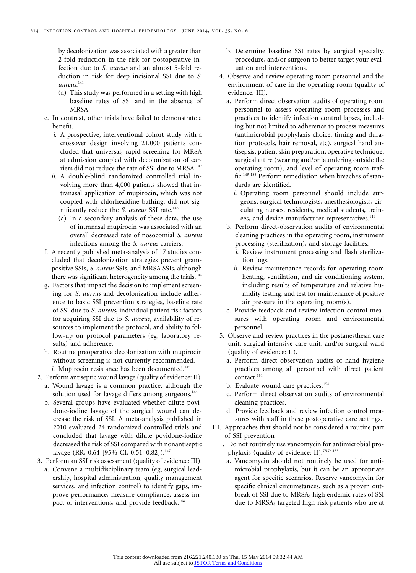by decolonization was associated with a greater than 2-fold reduction in the risk for postoperative infection due to *S. aureus* and an almost 5-fold reduction in risk for deep incisional SSI due to *S. aureus*. 141

- (a) This study was performed in a setting with high baseline rates of SSI and in the absence of MRSA.
- e. In contrast, other trials have failed to demonstrate a benefit.
	- *i*. A prospective, interventional cohort study with a crossover design involving 21,000 patients concluded that universal, rapid screening for MRSA at admission coupled with decolonization of carriers did not reduce the rate of SSI due to MRSA.<sup>142</sup>
	- *ii*. A double-blind randomized controlled trial involving more than 4,000 patients showed that intranasal application of mupirocin, which was not coupled with chlorhexidine bathing, did not significantly reduce the *S. aureus* SSI rate.<sup>143</sup>
		- (a) In a secondary analysis of these data, the use of intranasal mupirocin was associated with an overall decreased rate of nosocomial *S. aureus* infections among the *S. aureus* carriers.
- f. A recently published meta-analysis of 17 studies concluded that decolonization strategies prevent grampositive SSIs, *S. aureus* SSIs, and MRSA SSIs, although there was significant heterogeneity among the trials.<sup>144</sup>
- g. Factors that impact the decision to implement screening for *S. aureus* and decolonization include adherence to basic SSI prevention strategies, baseline rate of SSI due to *S. aureus*, individual patient risk factors for acquiring SSI due to *S. aureus*, availability of resources to implement the protocol, and ability to follow-up on protocol parameters (eg, laboratory results) and adherence.
- h. Routine preoperative decolonization with mupirocin without screening is not currently recommended.  $i$ . Mupirocin resistance has been documented.<sup>145</sup>
- 2. Perform antiseptic wound lavage (quality of evidence: II).
	- a. Wound lavage is a common practice, although the solution used for lavage differs among surgeons.<sup>146</sup>
	- b. Several groups have evaluated whether dilute povidone-iodine lavage of the surgical wound can decrease the risk of SSI. A meta-analysis published in 2010 evaluated 24 randomized controlled trials and concluded that lavage with dilute povidone-iodine decreased the risk of SSI compared with nonantiseptic lavage (RR, 0.64 [95% CI, 0.51-0.82]).<sup>147</sup>
- 3. Perform an SSI risk assessment (quality of evidence: III).
- a. Convene a multidisciplinary team (eg, surgical leadership, hospital administration, quality management services, and infection control) to identify gaps, improve performance, measure compliance, assess impact of interventions, and provide feedback.<sup>148</sup>
- b. Determine baseline SSI rates by surgical specialty, procedure, and/or surgeon to better target your evaluation and interventions.
- 4. Observe and review operating room personnel and the environment of care in the operating room (quality of evidence: III).
	- a. Perform direct observation audits of operating room personnel to assess operating room processes and practices to identify infection control lapses, including but not limited to adherence to process measures (antimicrobial prophylaxis choice, timing and duration protocols, hair removal, etc), surgical hand antisepsis, patient skin preparation, operative technique, surgical attire (wearing and/or laundering outside the operating room), and level of operating room traffic.149-153 Perform remediation when breaches of standards are identified.
		- *i*. Operating room personnel should include surgeons, surgical technologists, anesthesiologists, circulating nurses, residents, medical students, trainees, and device manufacturer representatives.<sup>149</sup>
	- b. Perform direct-observation audits of environmental cleaning practices in the operating room, instrument processing (sterilization), and storage facilities.
		- *i*. Review instrument processing and flash sterilization logs.
		- *ii*. Review maintenance records for operating room heating, ventilation, and air conditioning system, including results of temperature and relative humidity testing, and test for maintenance of positive air pressure in the operating room(s).
	- c. Provide feedback and review infection control measures with operating room and environmental personnel.
- 5. Observe and review practices in the postanesthesia care unit, surgical intensive care unit, and/or surgical ward (quality of evidence: II).
	- a. Perform direct observation audits of hand hygiene practices among all personnel with direct patient contact.<sup>151</sup>
	- b. Evaluate wound care practices.<sup>154</sup>
	- c. Perform direct observation audits of environmental cleaning practices.
	- d. Provide feedback and review infection control measures with staff in these postoperative care settings.
- III. Approaches that should not be considered a routine part of SSI prevention
	- 1. Do not routinely use vancomycin for antimicrobial prophylaxis (quality of evidence: II).<sup>75,76,155</sup>
		- a. Vancomycin should not routinely be used for antimicrobial prophylaxis, but it can be an appropriate agent for specific scenarios. Reserve vancomycin for specific clinical circumstances, such as a proven outbreak of SSI due to MRSA; high endemic rates of SSI due to MRSA; targeted high-risk patients who are at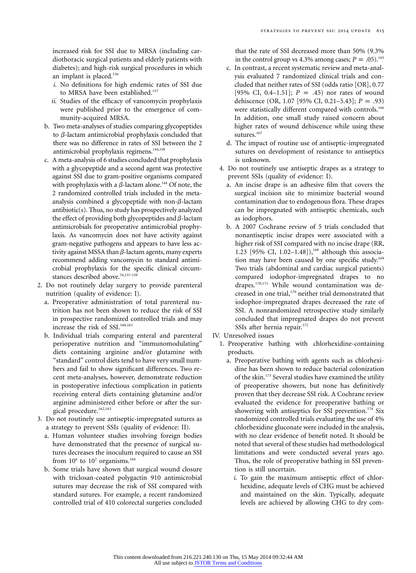increased risk for SSI due to MRSA (including cardiothoracic surgical patients and elderly patients with diabetes); and high-risk surgical procedures in which an implant is placed.<sup>156</sup>

- *i*. No definitions for high endemic rates of SSI due to MRSA have been established.<sup>157</sup>
- *ii*. Studies of the efficacy of vancomycin prophylaxis were published prior to the emergence of community-acquired MRSA.
- b. Two meta-analyses of studies comparing glycopeptides to  $\beta$ -lactam antimicrobial prophylaxis concluded that there was no difference in rates of SSI between the 2 antimicrobial prophylaxis regimens.<sup>144,158</sup>
- c. A meta-analysis of 6 studies concluded that prophylaxis with a glycopeptide and a second agent was protective against SSI due to gram-positive organisms compared with prophylaxis with a  $\beta$ -lactam alone.<sup>144</sup> Of note, the 2 randomized controlled trials included in the metaanalysis combined a glycopeptide with non- $\beta$ -lactam antibiotic(s). Thus, no study has prospectively analyzed the effect of providing both glycopeptides and  $\beta$ -lactam antimicrobials for preoperative antimicrobial prophylaxis. As vancomycin does not have activity against gram-negative pathogens and appears to have less activity against MSSA than  $\beta$ -lactam agents, many experts recommend adding vancomycin to standard antimicrobial prophylaxis for the specific clinical circumstances described above.<sup>76,157-159</sup>
- 2. Do not routinely delay surgery to provide parenteral nutrition (quality of evidence: I).
	- a. Preoperative administration of total parenteral nutrition has not been shown to reduce the risk of SSI in prospective randomized controlled trials and may increase the risk of SSI.<sup>160,161</sup>
	- b. Individual trials comparing enteral and parenteral perioperative nutrition and "immunomodulating" diets containing arginine and/or glutamine with "standard" control diets tend to have very small numbers and fail to show significant differences. Two recent meta-analyses, however, demonstrate reduction in postoperative infectious complication in patients receiving enteral diets containing glutamine and/or arginine administered either before or after the surgical procedure.<sup>162,163</sup>
- 3. Do not routinely use antiseptic-impregnated sutures as a strategy to prevent SSIs (quality of evidence: II).
	- a. Human volunteer studies involving foreign bodies have demonstrated that the presence of surgical sutures decreases the inoculum required to cause an SSI from  $10^6$  to  $10^2$  organisms.<sup>164</sup>
	- b. Some trials have shown that surgical wound closure with triclosan-coated polygactin 910 antimicrobial sutures may decrease the risk of SSI compared with standard sutures. For example, a recent randomized controlled trial of 410 colorectal surgeries concluded

that the rate of SSI decreased more than 50% (9.3% in the control group vs 4.3% among cases;  $P = .05$ ).<sup>165</sup>

- c. In contrast, a recent systematic review and meta-analysis evaluated 7 randomized clinical trials and concluded that neither rates of SSI (odds ratio [OR], 0.77 [95% CI, 0.4–1.51];  $P = .45$  nor rates of wound dehiscence (OR, 1.07 [95% CI, 0.21–5.43];  $P = .93$ ) were statistically different compared with controls.<sup>166</sup> In addition, one small study raised concern about higher rates of wound dehiscence while using these sutures.<sup>167</sup>
- d. The impact of routine use of antiseptic-impregnated sutures on development of resistance to antiseptics is unknown.
- 4. Do not routinely use antiseptic drapes as a strategy to prevent SSIs (quality of evidence: I).
	- a. An incise drape is an adhesive film that covers the surgical incision site to minimize bacterial wound contamination due to endogenous flora. These drapes can be impregnated with antiseptic chemicals, such as iodophors.
	- b. A 2007 Cochrane review of 5 trials concluded that nonantiseptic incise drapes were associated with a higher risk of SSI compared with no incise drape (RR, 1.23 [95% CI,  $1.02-1.48$ ]),<sup>168</sup> although this association may have been caused by one specific study.<sup>169</sup> Two trials (abdominal and cardiac surgical patients) compared iodophor-impregnated drapes to no drapes.170,171 While wound contamination was decreased in one trial,<sup>170</sup> neither trial demonstrated that iodophor-impregnated drapes decreased the rate of SSI. A nonrandomized retrospective study similarly concluded that impregnated drapes do not prevent SSIs after hernia repair.<sup>172</sup>
- IV. Unresolved issues
	- 1. Preoperative bathing with chlorhexidine-containing products.
		- a. Preoperative bathing with agents such as chlorhexidine has been shown to reduce bacterial colonization of the skin.173 Several studies have examined the utility of preoperative showers, but none has definitively proven that they decrease SSI risk. A Cochrane review evaluated the evidence for preoperative bathing or showering with antiseptics for SSI prevention.<sup>174</sup> Six randomized controlled trials evaluating the use of 4% chlorhexidine gluconate were included in the analysis, with no clear evidence of benefit noted. It should be noted that several of these studies had methodological limitations and were conducted several years ago. Thus, the role of preoperative bathing in SSI prevention is still uncertain.
			- *i*. To gain the maximum antiseptic effect of chlorhexidine, adequate levels of CHG must be achieved and maintained on the skin. Typically, adequate levels are achieved by allowing CHG to dry com-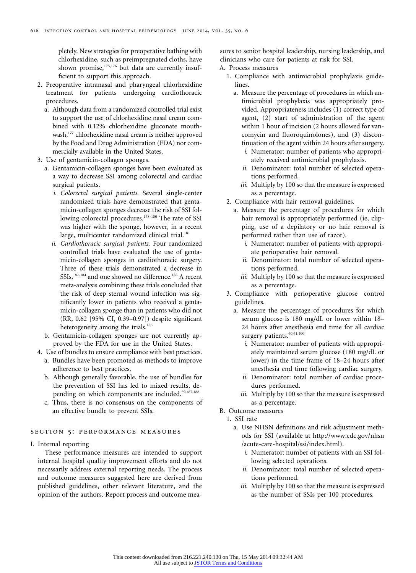pletely. New strategies for preoperative bathing with chlorhexidine, such as preimpregnated cloths, have shown promise,<sup>175,176</sup> but data are currently insufficient to support this approach.

- 2. Preoperative intranasal and pharyngeal chlorhexidine treatment for patients undergoing cardiothoracic procedures.
	- a. Although data from a randomized controlled trial exist to support the use of chlorhexidine nasal cream combined with 0.12% chlorhexidine gluconate mouthwash,<sup>177</sup> chlorhexidine nasal cream is neither approved by the Food and Drug Administration (FDA) nor commercially available in the United States.
- 3. Use of gentamicin-collagen sponges.
	- a. Gentamicin-collagen sponges have been evaluated as a way to decrease SSI among colorectal and cardiac surgical patients.
		- *i*. *Colorectal surgical patients*. Several single-center randomized trials have demonstrated that gentamicin-collagen sponges decrease the risk of SSI following colorectal procedures.<sup>178-180</sup> The rate of SSI was higher with the sponge, however, in a recent large, multicenter randomized clinical trial.<sup>181</sup>
		- *ii*. *Cardiothoracic surgical patients*. Four randomized controlled trials have evaluated the use of gentamicin-collagen sponges in cardiothoracic surgery. Three of these trials demonstrated a decrease in SSIs,<sup>182-184</sup> and one showed no difference.<sup>185</sup> A recent meta-analysis combining these trials concluded that the risk of deep sternal wound infection was significantly lower in patients who received a gentamicin-collagen sponge than in patients who did not (RR, 0.62 [95% CI, 0.39–0.97]) despite significant heterogeneity among the trials.<sup>186</sup>
	- b. Gentamicin-collagen sponges are not currently approved by the FDA for use in the United States.
- 4. Use of bundles to ensure compliance with best practices.
	- a. Bundles have been promoted as methods to improve adherence to best practices.
	- b. Although generally favorable, the use of bundles for the prevention of SSI has led to mixed results, depending on which components are included.59,187,188
	- c. Thus, there is no consensus on the components of an effective bundle to prevent SSIs.

#### section 5: performance measures

I. Internal reporting

These performance measures are intended to support internal hospital quality improvement efforts and do not necessarily address external reporting needs. The process and outcome measures suggested here are derived from published guidelines, other relevant literature, and the opinion of the authors. Report process and outcome measures to senior hospital leadership, nursing leadership, and clinicians who care for patients at risk for SSI.

- A. Process measures
	- 1. Compliance with antimicrobial prophylaxis guidelines.
		- a. Measure the percentage of procedures in which antimicrobial prophylaxis was appropriately provided. Appropriateness includes (1) correct type of agent, (2) start of administration of the agent within 1 hour of incision (2 hours allowed for vancomycin and fluoroquinolones), and (3) discontinuation of the agent within 24 hours after surgery.
			- *i*. Numerator: number of patients who appropriately received antimicrobial prophylaxis.
			- *ii*. Denominator: total number of selected operations performed.
			- *iii*. Multiply by 100 so that the measure is expressed as a percentage.
	- 2. Compliance with hair removal guidelines.
		- a. Measure the percentage of procedures for which hair removal is appropriately performed (ie, clipping, use of a depilatory or no hair removal is performed rather than use of razor).
			- *i*. Numerator: number of patients with appropriate perioperative hair removal.
			- *ii*. Denominator: total number of selected operations performed.
			- *iii*. Multiply by 100 so that the measure is expressed as a percentage.
	- 3. Compliance with perioperative glucose control guidelines.
		- a. Measure the percentage of procedures for which serum glucose is 180 mg/dL or lower within 18– 24 hours after anesthesia end time for all cardiac surgery patients.<sup>60,61,100</sup>
			- *i*. Numerator: number of patients with appropriately maintained serum glucose (180 mg/dL or lower) in the time frame of 18–24 hours after anesthesia end time following cardiac surgery.
			- *ii*. Denominator: total number of cardiac procedures performed.
			- *iii*. Multiply by 100 so that the measure is expressed as a percentage.
- B. Outcome measures
	- 1. SSI rate
		- a. Use NHSN definitions and risk adjustment methods for SSI (available at [http://www.cdc.gov/nhsn](http://www.cdc.gov/nhsn/acute-care-hospital/ssi/index.html) [/acute-care-hospital/ssi/index.html\)](http://www.cdc.gov/nhsn/acute-care-hospital/ssi/index.html).
			- *i*. Numerator: number of patients with an SSI following selected operations.
			- *ii*. Denominator: total number of selected operations performed.
			- *iii*. Multiply by 100 so that the measure is expressed as the number of SSIs per 100 procedures.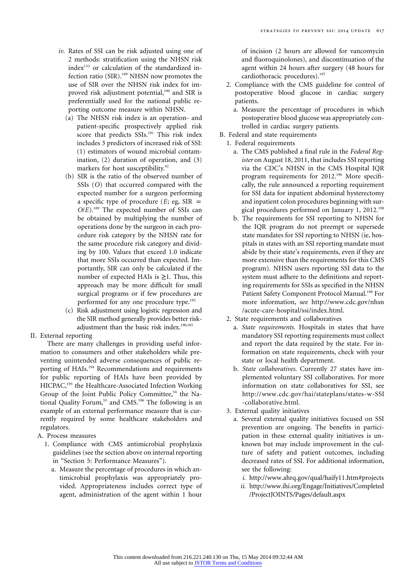- *iv*. Rates of SSI can be risk adjusted using one of 2 methods: stratification using the NHSN risk index<sup>133</sup> or calculation of the standardized infection ratio (SIR).<sup>189</sup> NHSN now promotes the use of SIR over the NHSN risk index for improved risk adjustment potential,<sup>190</sup> and SIR is preferentially used for the national public reporting outcome measure within NHSN.
	- (a) The NHSN risk index is an operation- and patient-specific prospectively applied risk score that predicts SSIs.<sup>191</sup> This risk index includes 3 predictors of increased risk of SSI: (1) estimators of wound microbial contamination, (2) duration of operation, and (3) markers for host susceptibility.<sup>42</sup>
	- (b) SIR is the ratio of the observed number of SSIs (*O*) that occurred compared with the expected number for a surgeon performing a specific type of procedure  $(E; eg, SIR =$ *O*/*E*).<sup>189</sup> The expected number of SSIs can be obtained by multiplying the number of operations done by the surgeon in each procedure risk category by the NHSN rate for the same procedure risk category and dividing by 100. Values that exceed 1.0 indicate that more SSIs occurred than expected. Importantly, SIR can only be calculated if the number of expected HAIs is  $\geq$ 1. Thus, this approach may be more difficult for small surgical programs or if few procedures are performed for any one procedure type.<sup>192</sup>
	- (c) Risk adjustment using logistic regression and the SIR method generally provides better riskadjustment than the basic risk index.190,193
- II. External reporting

There are many challenges in providing useful information to consumers and other stakeholders while preventing unintended adverse consequences of public reporting of HAIs.<sup>194</sup> Recommendations and requirements for public reporting of HAIs have been provided by HICPAC,<sup>195</sup> the Healthcare-Associated Infection Working Group of the Joint Public Policy Committee,<sup>54</sup> the National Quality Forum,<sup>55</sup> and CMS.<sup>196</sup> The following is an example of an external performance measure that is currently required by some healthcare stakeholders and regulators.

- A. Process measures
	- 1. Compliance with CMS antimicrobial prophylaxis guidelines (see the section above on internal reporting in "Section 5: Performance Measures").
		- a. Measure the percentage of procedures in which antimicrobial prophylaxis was appropriately provided. Appropriateness includes correct type of agent, administration of the agent within 1 hour

of incision (2 hours are allowed for vancomycin and fluoroquinolones), and discontinuation of the agent within 24 hours after surgery (48 hours for cardiothoracic procedures).<sup>197</sup>

- 2. Compliance with the CMS guideline for control of postoperative blood glucose in cardiac surgery patients.
	- a. Measure the percentage of procedures in which postoperative blood glucose was appropriately controlled in cardiac surgery patients.
- B. Federal and state requirements
	- 1. Federal requirements
		- a. The CMS published a final rule in the *Federal Register* on August 18, 2011, that includes SSI reporting via the CDC's NHSN in the CMS Hospital IQR program requirements for 2012.196 More specifically, the rule announced a reporting requirement for SSI data for inpatient abdominal hysterectomy and inpatient colon procedures beginning with surgical procedures performed on January 1, 2012.<sup>198</sup>
		- b. The requirements for SSI reporting to NHSN for the IQR program do not preempt or supersede state mandates for SSI reporting to NHSN (ie, hospitals in states with an SSI reporting mandate must abide by their state's requirements, even if they are more extensive than the requirements for this CMS program). NHSN users reporting SSI data to the system must adhere to the definitions and reporting requirements for SSIs as specified in the NHSN Patient Safety Component Protocol Manual.<sup>198</sup> For more information, see [http://www.cdc.gov/nhsn](http://www.cdc.gov/nhsn/acute-care-hospital/ssi/index.html) [/acute-care-hospital/ssi/index.html.](http://www.cdc.gov/nhsn/acute-care-hospital/ssi/index.html)
	- 2. State requirements and collaboratives
		- a. *State requirements*. Hospitals in states that have mandatory SSI reporting requirements must collect and report the data required by the state. For information on state requirements, check with your state or local health department.
		- b. *State collaboratives*. Currently 27 states have implemented voluntary SSI collaboratives. For more information on state collaboratives for SSI, see [http://www.cdc.gov/hai/stateplans/states-w-SSI](http://www.cdc.gov/hai/stateplans/states-w-SSI-collaborative.html) [-collaborative.html.](http://www.cdc.gov/hai/stateplans/states-w-SSI-collaborative.html)
	- 3. External quality initiatives
		- a. Several external quality initiatives focused on SSI prevention are ongoing. The benefits in participation in these external quality initiatives is unknown but may include improvement in the culture of safety and patient outcomes, including decreased rates of SSI. For additional information, see the following:
			- *i*.<http://www.ahrq.gov/qual/haify11.htm#projects>
			- *ii*. [http://www.ihi.org/Engage/Initiatives/Completed](http://www.ihi.org/Engage/Initiatives/Completed/ProjectJOINTS/Pages/default.aspx) [/ProjectJOINTS/Pages/default.aspx](http://www.ihi.org/Engage/Initiatives/Completed/ProjectJOINTS/Pages/default.aspx)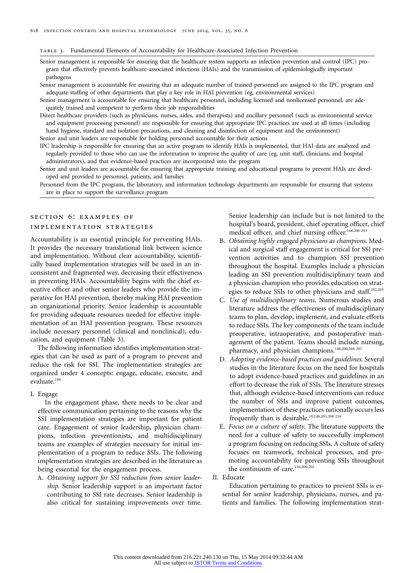#### table 3. Fundamental Elements of Accountability for Healthcare-Associated Infection Prevention

Senior management is responsible for ensuring that the healthcare system supports an infection prevention and control (IPC) program that effectively prevents healthcare-associated infections (HAIs) and the transmission of epidemiologically important pathogens

Senior management is accountable for ensuring that an adequate number of trained personnel are assigned to the IPC program and adequate staffing of other departments that play a key role in HAI prevention (eg, environmental services)

Senior management is accountable for ensuring that healthcare personnel, including licensed and nonlicensed personnel, are adequately trained and competent to perform their job responsibilities

Direct healthcare providers (such as physicians, nurses, aides, and therapists) and ancillary personnel (such as environmental service and equipment processing personnel) are responsible for ensuring that appropriate IPC practices are used at all times (including hand hygiene, standard and isolation precautions, and cleaning and disinfection of equipment and the environment)

Senior and unit leaders are responsible for holding personnel accountable for their actions

IPC leadership is responsible for ensuring that an active program to identify HAIs is implemented, that HAI data are analyzed and regularly provided to those who can use the information to improve the quality of care (eg, unit staff, clinicians, and hospital administrators), and that evidence-based practices are incorporated into the program

Senior and unit leaders are accountable for ensuring that appropriate training and educational programs to prevent HAIs are developed and provided to personnel, patients, and families

Personnel from the IPC program, the laboratory, and information technology departments are responsible for ensuring that systems are in place to support the surveillance program

## section 6: examples of implementation strategies

Accountability is an essential principle for preventing HAIs. It provides the necessary translational link between science and implementation. Without clear accountability, scientifically based implementation strategies will be used in an inconsistent and fragmented way, decreasing their effectiveness in preventing HAIs. Accountability begins with the chief executive officer and other senior leaders who provide the imperative for HAI prevention, thereby making HAI prevention an organizational priority. Senior leadership is accountable for providing adequate resources needed for effective implementation of an HAI prevention program. These resources include necessary personnel (clinical and nonclinical), education, and equipment (Table 3).

The following information identifies implementation strategies that can be used as part of a program to prevent and reduce the risk for SSI. The implementation strategies are organized under 4 concepts: engage, educate, execute, and evaluate.<sup>199</sup>

I. Engage

In the engagement phase, there needs to be clear and effective communication pertaining to the reasons why the SSI implementation strategies are important for patient care. Engagement of senior leadership, physician champions, infection preventionists, and multidisciplinary teams are examples of strategies necessary for initial implementation of a program to reduce SSIs. The following implementation strategies are described in the literature as being essential for the engagement process.

A. *Obtaining support for SSI reduction from senior leadership*. Senior leadership support is an important factor contributing to SSI rate decreases. Senior leadership is also critical for sustaining improvements over time. Senior leadership can include but is not limited to the hospital's board, president, chief operating officer, chief medical officer, and chief nursing officer.<sup>148,200-203</sup>

- B. *Obtaining highly engaged physicians as champions*. Medical and surgical staff engagement is critical for SSI prevention activities and to champion SSI prevention throughout the hospital. Examples include a physician leading an SSI prevention multidisciplinary team and a physician champion who provides education on strategies to reduce SSIs to other physicians and staff.<sup>202,203</sup>
- C. *Use of multidisciplinary teams*. Numerous studies and literature address the effectiveness of multidisciplinary teams to plan, develop, implement, and evaluate efforts to reduce SSIs. The key components of the team include preoperative, intraoperative, and postoperative management of the patient. Teams should include nursing, pharmacy, and physician champions.<sup>148,200,204-207</sup>
- D. *Adopting evidence-based practices and guidelines*. Several studies in the literature focus on the need for hospitals to adopt evidence-based practices and guidelines in an effort to decrease the risk of SSIs. The literature stresses that, although evidence-based interventions can reduce the number of SSIs and improve patient outcomes, implementation of these practices nationally occurs less frequently than is desirable.<sup>10,148,203,208-210</sup>
- E. *Focus on a culture of safety*. The literature supports the need for a culture of safety to successfully implement a program focusing on reducing SSIs. A culture of safety focuses on teamwork, technical processes, and promoting accountability for preventing SSIs throughout the continuum of care.<sup>136,200,202</sup>
- II. Educate

Education pertaining to practices to prevent SSIs is essential for senior leadership, physicians, nurses, and patients and families. The following implementation strat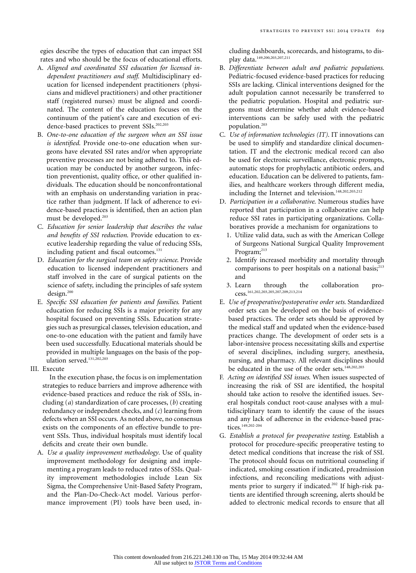egies describe the types of education that can impact SSI rates and who should be the focus of educational efforts.

- A. *Aligned and coordinated SSI education for licensed independent practitioners and staff*. Multidisciplinary education for licensed independent practitioners (physicians and midlevel practitioners) and other practitioner staff (registered nurses) must be aligned and coordinated. The content of the education focuses on the continuum of the patient's care and execution of evidence-based practices to prevent SSIs.<sup>202,203</sup>
- B. *One-to-one education of the surgeon when an SSI issue is identified*. Provide one-to-one education when surgeons have elevated SSI rates and/or when appropriate preventive processes are not being adhered to. This education may be conducted by another surgeon, infection preventionist, quality office, or other qualified individuals. The education should be nonconfrontational with an emphasis on understanding variation in practice rather than judgment. If lack of adherence to evidence-based practices is identified, then an action plan must be developed.<sup>203</sup>
- C. *Education for senior leadership that describes the value and benefits of SSI reduction*. Provide education to executive leadership regarding the value of reducing SSIs, including patient and fiscal outcomes.<sup>131</sup>
- D. *Education for the surgical team on safety science*. Provide education to licensed independent practitioners and staff involved in the care of surgical patients on the science of safety, including the principles of safe system design.<sup>200</sup>
- E. *Specific SSI education for patients and families*. Patient education for reducing SSIs is a major priority for any hospital focused on preventing SSIs. Education strategies such as presurgical classes, television education, and one-to-one education with the patient and family have been used successfully. Educational materials should be provided in multiple languages on the basis of the population served.<sup>131,202,203</sup>
- III. Execute

In the execution phase, the focus is on implementation strategies to reduce barriers and improve adherence with evidence-based practices and reduce the risk of SSIs, including (*a*) standardization of care processes, (*b*) creating redundancy or independent checks, and (*c*) learning from defects when an SSI occurs. As noted above, no consensus exists on the components of an effective bundle to prevent SSIs. Thus, individual hospitals must identify local deficits and create their own bundle.

A. *Use a quality improvement methodology*. Use of quality improvement methodology for designing and implementing a program leads to reduced rates of SSIs. Quality improvement methodologies include Lean Six Sigma, the Comprehensive Unit-Based Safety Program, and the Plan-Do-Check-Act model. Various performance improvement (PI) tools have been used, including dashboards, scorecards, and histograms, to display data.149,200,203,207,211

- B. *Differentiate between adult and pediatric populations*. Pediatric-focused evidence-based practices for reducing SSIs are lacking. Clinical interventions designed for the adult population cannot necessarily be transferred to the pediatric population. Hospital and pediatric surgeons must determine whether adult evidence-based interventions can be safely used with the pediatric population.203
- C. *Use of information technologies (IT)*. IT innovations can be used to simplify and standardize clinical documentation. IT and the electronic medical record can also be used for electronic surveillance, electronic prompts, automatic stops for prophylactic antibiotic orders, and education. Education can be delivered to patients, families, and healthcare workers through different media, including the Internet and television.<sup>148,202,203,212</sup>
- D. *Participation in a collaborative*. Numerous studies have reported that participation in a collaborative can help reduce SSI rates in participating organizations. Collaboratives provide a mechanism for organizations to
	- 1. Utilize valid data, such as with the American College of Surgeons National Surgical Quality Improvement Program;<sup>213</sup>
	- 2. Identify increased morbidity and mortality through comparisons to peer hospitals on a national basis;<sup>213</sup> and
	- 3. Learn through the collaboration process.<sup>161,202,203,205,207,209,213,214</sup>
- E. *Use of preoperative/postoperative order sets*. Standardized order sets can be developed on the basis of evidencebased practices. The order sets should be approved by the medical staff and updated when the evidence-based practices change. The development of order sets is a labor-intensive process necessitating skills and expertise of several disciplines, including surgery, anesthesia, nursing, and pharmacy. All relevant disciplines should be educated in the use of the order sets.<sup>148,202,203</sup>
- F. *Acting on identified SSI issues*. When issues suspected of increasing the risk of SSI are identified, the hospital should take action to resolve the identified issues. Several hospitals conduct root-cause analyses with a multidisciplinary team to identify the cause of the issues and any lack of adherence in the evidence-based practices.<sup>149,202-204</sup>
- G. *Establish a protocol for preoperative testing*. Establish a protocol for procedure-specific preoperative testing to detect medical conditions that increase the risk of SSI. The protocol should focus on nutritional counseling if indicated, smoking cessation if indicated, preadmission infections, and reconciling medications with adjustments prior to surgery if indicated.<sup>202</sup> If high-risk patients are identified through screening, alerts should be added to electronic medical records to ensure that all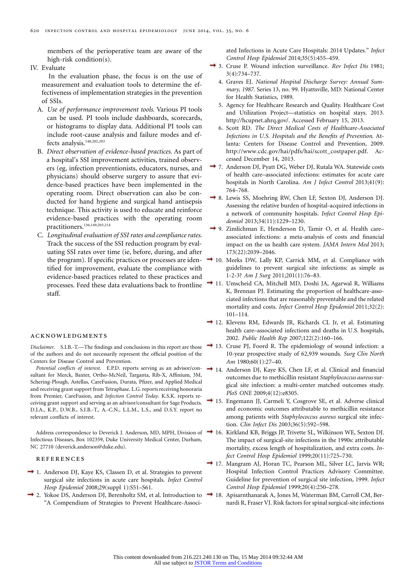members of the perioperative team are aware of the high-risk condition(s).

IV. Evaluate

In the evaluation phase, the focus is on the use of measurement and evaluation tools to determine the effectiveness of implementation strategies in the prevention of SSIs.

- A. *Use of performance improvement tools*. Various PI tools can be used. PI tools include dashboards, scorecards, or histograms to display data. Additional PI tools can include root-cause analysis and failure modes and effects analysis.<sup>148,202,203</sup>
- B. *Direct observation of evidence-based practices*. As part of a hospital's SSI improvement activities, trained observers (eg, infection preventionists, educators, nurses, and physicians) should observe surgery to assure that evidence-based practices have been implemented in the operating room. Direct observation can also be conducted for hand hygiene and surgical hand antisepsis technique. This activity is used to educate and reinforce evidence-based practices with the operating room practitioners.136,149,203,214
- C. *Longitudinal evaluation of SSI rates and compliance rates*. Track the success of the SSI reduction program by evaluating SSI rates over time (ie, before, during, and after the program). If specific practices or processes are identified for improvement, evaluate the compliance with evidence-based practices related to these practices and processes. Feed these data evaluations back to frontline staff.

#### acknowledgments

*Disclaimer*. S.I.B.-T.—The findings and conclusions in this report are those of the authors and do not necessarily represent the official position of the Centers for Disease Control and Prevention.

*Potential conflicts of interest*. E.P.D. reports serving as an advisor/consultant for Merck, Baxter, Ortho-McNeil, Targanta, Rib-X, Affinium, 3M, Schering-Plough, Astellas, CareFusion, Durata, Pfizer, and Applied Medical and receiving grant support from Tetraphase. L.G. reports receiving honoraria from Premier, CareFusion, and *Infection Control Today*. K.S.K. reports receiving grant support and serving as an advisor/consultant for Sage Products. D.J.A., K.P., D.W.B., S.I.B.-T., A.-C.N., L.L.M., L.S., and D.S.Y. report no relevant conflicts of interest.

Infectious Diseases, Box 102359, Duke University Medical Center, Durham, NC 27710 [\(deverick.anderson@duke.edu\)](mailto:deverick.anderson@duke.edu).

### **REFERENCES**

- → 1. Anderson DJ, Kaye KS, Classen D, et al. Strategies to prevent surgical site infections in acute care hospitals. *Infect Control Hosp Epidemiol* 2008;29(suppl 1):S51–S61.
- 2. Yokoe DS, Anderson DJ, Berenholtz SM, et al. Introduction to "A Compendium of Strategies to Prevent Healthcare-Associ-

ated Infections in Acute Care Hospitals: 2014 Updates." *Infect Control Hosp Epidemiol* 2014;35(5):455–459.

- 3. Cruse P. Wound infection surveillance. *Rev Infect Dis* 1981; 3(4):734–737.
	- 4. Graves EJ. *National Hospital Discharge Survey: Annual Summary, 1987*. Series 13, no. 99. Hyattsville, MD: National Center for Health Statistics, 1989.
	- 5. Agency for Healthcare Research and Quality. Healthcare Cost and Utilization Project—statistics on hospital stays. 2013. [http://hcupnet.ahrq.gov/.](http://hcupnet.ahrq.gov/) Accessed February 15, 2013.
	- 6. Scott RD. *The Direct Medical Costs of Healthcare-Associated Infections in U.S. Hospitals and the Benefits of Prevention*. Atlanta: Centers for Disease Control and Prevention, 2009. [http://www.cdc.gov/hai/pdfs/hai/scott\\_costpaper.pdf.](http://www.cdc.gov/hai/pdfs/hai/scott_costpaper.pdf) Accessed December 14, 2013.
- 7. Anderson DJ, Pyatt DG, Weber DJ, Rutala WA. Statewide costs of health care–associated infections: estimates for acute care hospitals in North Carolina. *Am J Infect Control* 2013;41(9): 764–768.
- 8. Lewis SS, Moehring RW, Chen LF, Sexton DJ, Anderson DJ. Assessing the relative burden of hospital-acquired infections in a network of community hospitals. *Infect Control Hosp Epidemiol* 2013;34(11):1229–1230.
- 9. Zimlichman E, Henderson D, Tamir O, et al. Health care– associated infections: a meta-analysis of costs and financial impact on the us health care system. *JAMA Intern Med* 2013; 173(22):2039–2046.
- → 10. Meeks DW, Lally KP, Carrick MM, et al. Compliance with guidelines to prevent surgical site infections: as simple as 1-2-3? *Am J Surg* 2011;201(1):76–83.
- 11. Umscheid CA, Mitchell MD, Doshi JA, Agarwal R, Williams K, Brennan PJ. Estimating the proportion of healthcare-associated infections that are reasonably preventable and the related mortality and costs. *Infect Control Hosp Epidemiol* 2011;32(2): 101–114.
- → 12. Klevens RM, Edwards JR, Richards CL Jr, et al. Estimating health care–associated infections and deaths in U.S. hospitals, 2002. *Public Health Rep* 2007;122(2):160–166.
- $\rightarrow$  13. Cruse PJ, Foord R. The epidemiology of wound infection: a 10-year prospective study of 62,939 wounds. *Surg Clin North Am* 1980;60(1):27–40.
- 14. Anderson DJ, Kaye KS, Chen LF, et al. Clinical and financial outcomes due to methicillin resistant *Staphylococcus aureus*surgical site infection: a multi-center matched outcomes study. *PloS ONE* 2009;4(12):e8305.
- 15. Engemann JJ, Carmeli Y, Cosgrove SE, et al. Adverse clinical and economic outcomes attributable to methicillin resistance among patients with *Staphylococcus aureus* surgical site infection. *Clin Infect Dis* 2003;36(5):592–598.
- Address correspondence to Deverick J. Anderson, MD, MPH, Division of 16. Kirkland KB, Briggs JP, Trivette SL, Wilkinson WE, Sexton DJ. The impact of surgical-site infections in the 1990s: attributable mortality, excess length of hospitalization, and extra costs. *Infect Control Hosp Epidemiol* 1999;20(11):725–730.
	- 17. Mangram AJ, Horan TC, Pearson ML, Silver LC, Jarvis WR; Hospital Infection Control Practices Advisory Committee. Guideline for prevention of surgical site infection, 1999. *Infect Control Hosp Epidemiol* 1999;20(4):250–278.
	- → 18. Apisarnthanarak A, Jones M, Waterman BM, Carroll CM, Bernardi R, Fraser VJ. Risk factors for spinal surgical-site infections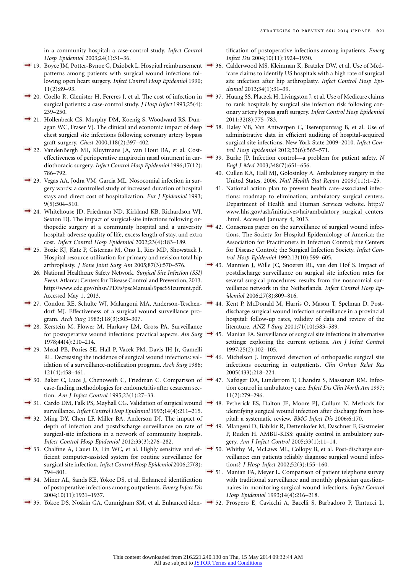in a community hospital: a case-control study. *Infect Control Hosp Epidemiol* 2003;24(1):31–36.

- patterns among patients with surgical wound infections following open heart surgery. *Infect Control Hosp Epidemiol* 1990; 11(2):89–93.
- surgical patients: a case-control study. *J Hosp Infect* 1993;25(4): 239–250.
- 21. Hollenbeak CS, Murphy DM, Koenig S, Woodward RS, Dunchest surgical site infections following coronary artery bypass graft surgery. *Chest* 2000;118(2):397–402.
- 22. VandenBergh MF, Kluytmans JA, van Hout BA, et al. Costdiothoracic surgery. *Infect Control Hosp Epidemiol* 1996;17(12): 786–792.
- 23. Vegas AA, Jodra VM, Garcia ML. Nosocomial infection in surgery wards: a controlled study of increased duration of hospital stays and direct cost of hospitalization. *Eur J Epidemiol* 1993; 9(5):504–510.
- 24. Whitehouse JD, Friedman ND, Kirkland KB, Richardson WJ, Sexton DJ. The impact of surgical-site infections following orthopedic surgery at a community hospital and a university hospital: adverse quality of life, excess length of stay, and extra cost. *Infect Control Hosp Epidemiol* 2002;23(4):183–189.
- 25. Bozic KJ, Katz P, Cisternas M, Ono L, Ries MD, Showstack J. Hospital resource utilization for primary and revision total hip arthroplasty. *J Bone Joint Surg Am* 2005;87(3):570–576.
	- 26. National Healthcare Safety Network. *Surgical Site Infection (SSI) Event*. Atlanta: Centers for Disease Control and Prevention, 2013. [http://www.cdc.gov/nhsn/PDFs/pscManual/9pscSSIcurrent.pdf.](http://www.cdc.gov/nhsn/PDFs/pscManual/9pscSSIcurrent.pdf) Accessed May 1, 2013.
- 27. Condon RE, Schulte WJ, Malangoni MA, Anderson-Teschendorf MJ. Effectiveness of a surgical wound surveillance program. *Arch Surg* 1983;118(3):303–307.
- → 28. Kerstein M, Flower M, Harkavy LM, Gross PA. Surveillance for postoperative wound infections: practical aspects. *Am Surg* 1978;44(4):210–214.
- 29. Mead PB, Pories SE, Hall P, Vacek PM, Davis JH Jr, Gamelli RL. Decreasing the incidence of surgical wound infections: validation of a surveillance-notification program. *Arch Surg* 1986; 121(4):458–461.
- 30. Baker C, Luce J, Chenoweth C, Friedman C. Comparison of 47. Nafziger DA, Lundstrom T, Chandra S, Massanari RM. Infeccase-finding methodologies for endometritis after cesarean section. *Am J Infect Control* 1995;23(1):27–33.
- 31. Cardo DM, Falk PS, Mayhall CG. Validation of surgical wound surveillance. *Infect Control Hosp Epidemiol* 1993;14(4):211–215.
- 32. Ming DY, Chen LF, Miller BA, Anderson DJ. The impact of depth of infection and postdischarge surveillance on rate of surgical-site infections in a network of community hospitals. *Infect Control Hosp Epidemiol* 2012;33(3):276–282.
- 33. Chalfine A, Cauet D, Lin WC, et al. Highly sensitive and efficient computer-assisted system for routine surveillance for surgical site infection. *Infect Control Hosp Epidemiol* 2006;27(8): 794–801.
- 34. Miner AL, Sands KE, Yokoe DS, et al. Enhanced identification of postoperative infections among outpatients. *Emerg Infect Dis* 2004;10(11):1931–1937.
- 35. Yokoe DS, Noskin GA, Cunnigham SM, et al. Enhanced iden-52. Prospero E, Cavicchi A, Bacelli S, Barbadoro P, Tantucci L,

tification of postoperative infections among inpatients. *Emerg Infect Dis* 2004;10(11):1924–1930.

- 19. Boyce JM, Potter-Bynoe G, Dziobek L. Hospital reimbursement 36. Calderwood MS, Kleinman K, Bratzler DW, et al. Use of Medicare claims to identify US hospitals with a high rate of surgical site infection after hip arthroplasty. *Infect Control Hosp Epidemiol* 2013;34(1):31–39.
- 20. Coello R, Glenister H, Fereres J, et al. The cost of infection in 37. Huang SS, Placzek H, Livingston J, et al. Use of Medicare claims to rank hospitals by surgical site infection risk following coronary artery bypass graft surgery. *Infect Control Hosp Epidemiol* 2011;32(8):775–783.
	- agan WC, Fraser VJ. The clinical and economic impact of deep 38. Haley VB, Van Antwerpen C, Tserenpuntsag B, et al. Use of administrative data in efficient auditing of hospital-acquired surgical site infections, New York State 2009–2010. *Infect Control Hosp Epidemiol* 2012;33(6):565–571.
	- effectiveness of perioperative mupirocin nasal ointment in car-39. Burke JP. Infection control—a problem for patient safety. *N Engl J Med* 2003;348(7):651–656.
		- 40. Cullen KA, Hall MJ, Golosinkiy A. Ambulatory surgery in the United States, 2006. *Natl Health Stat Report* 2009;(11):1–25.
		- 41. National action plan to prevent health care–associated infections: roadmap to elimination; ambulatory surgical centers. Department of Health and Human Services website. [http://](http://www.hhs.gov/ash/initiatives/hai/ambulatory_surgical_centers.html) [www.hhs.gov/ash/initiatives/hai/ambulatory\\_surgical\\_centers](http://www.hhs.gov/ash/initiatives/hai/ambulatory_surgical_centers.html) [.html.](http://www.hhs.gov/ash/initiatives/hai/ambulatory_surgical_centers.html) Accessed January 4, 2013.
		- $\rightarrow$  42. Consensus paper on the surveillance of surgical wound infections. The Society for Hospital Epidemiology of America; the Association for Practitioners in Infection Control; the Centers for Disease Control; the Surgical Infection Society. *Infect Control Hosp Epidemiol* 1992;13(10):599–605.
		- 43. Mannien J, Wille JC, Snoeren RL, van den Hof S. Impact of postdischarge surveillance on surgical site infection rates for several surgical procedures: results from the nosocomial surveillance network in the Netherlands. *Infect Control Hosp Epidemiol* 2006;27(8):809–816.
		- 44. Kent P, McDonald M, Harris O, Mason T, Spelman D. Postdischarge surgical wound infection surveillance in a provincial hospital: follow-up rates, validity of data and review of the literature. *ANZ J Surg* 2001;71(10):583–589.
		- → 45. Manian FA. Surveillance of surgical site infections in alternative settings: exploring the current options. *Am J Infect Control* 1997;25(2):102–105.
		- 46. Michelson J. Improved detection of orthopaedic surgical site infections occurring in outpatients. *Clin Orthop Relat Res* 2005(433):218–224.
			- tion control in ambulatory care. *Infect Dis Clin North Am* 1997; 11(2):279–296.
		- 48. Petherick ES, Dalton JE, Moore PJ, Cullum N. Methods for identifying surgical wound infection after discharge from hospital: a systematic review. *BMC Infect Dis* 2006;6:170.
		- 49. Mlangeni D, Babikir R, Dettenkofer M, Daschner F, Gastmeier P, Ruden H. AMBU-KISS: quality control in ambulatory surgery. *Am J Infect Control* 2005;33(1):11–14.
		- 50. Whitby M, McLaws ML, Collopy B, et al. Post-discharge surveillance: can patients reliably diagnose surgical wound infections? *J Hosp Infect* 2002;52(3):155–160.
		- $\rightarrow$  51. Manian FA, Meyer L. Comparison of patient telephone survey with traditional surveillance and monthly physician questionnaires in monitoring surgical wound infections. *Infect Control Hosp Epidemiol* 1993;14(4):216–218.
			-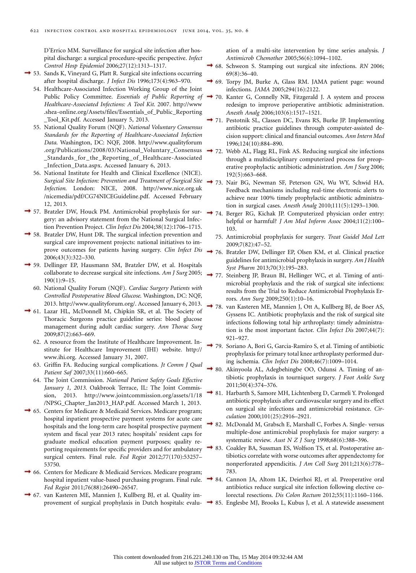D'Errico MM. Surveillance for surgical site infection after hospital discharge: a surgical procedure-specific perspective. *Infect Control Hosp Epidemiol* 2006;27(12):1313–1317.

- 53. Sands K, Vineyard G, Platt R. Surgical site infections occurring after hospital discharge. *J Infect Dis* 1996;173(4):963–970.
	- 54. Healthcare-Associated Infection Working Group of the Joint Public Policy Committee. *Essentials of Public Reporting of Healthcare-Associated Infections: A Tool Kit*. 2007. [http://www](http://www.shea-online.org/Assets/files/Essentials_of_Public_Reporting_Tool_Kit.pdf) [.shea-online.org/Assets/files/Essentials\\_of\\_Public\\_Reporting](http://www.shea-online.org/Assets/files/Essentials_of_Public_Reporting_Tool_Kit.pdf) [\\_Tool\\_Kit.pdf.](http://www.shea-online.org/Assets/files/Essentials_of_Public_Reporting_Tool_Kit.pdf) Accessed January 5, 2013.
	- 55. National Quality Forum (NQF). *National Voluntary Consensus Standards for the Reporting of Healthcare-Associated Infection Data*. Washington, DC: NQF, 2008. [http://www.qualityforum](http://www.qualityforum.org/Publications/2008/03/National_Voluntary_Consensus_Standards_for_the_Reporting_of_Healthcare-Associated_Infection_Data.aspx) [.org/Publications/2008/03/National\\_Voluntary\\_Consensus](http://www.qualityforum.org/Publications/2008/03/National_Voluntary_Consensus_Standards_for_the_Reporting_of_Healthcare-Associated_Infection_Data.aspx) [\\_Standards\\_for\\_the\\_Reporting\\_of\\_Healthcare-Associated](http://www.qualityforum.org/Publications/2008/03/National_Voluntary_Consensus_Standards_for_the_Reporting_of_Healthcare-Associated_Infection_Data.aspx) [\\_Infection\\_Data.aspx.](http://www.qualityforum.org/Publications/2008/03/National_Voluntary_Consensus_Standards_for_the_Reporting_of_Healthcare-Associated_Infection_Data.aspx) Accessed January 6, 2013.
	- 56. National Institute for Health and Clinical Excellence (NICE). *Surgical Site Infection: Prevention and Treatment of Surgical Site Infection*. London: NICE, 2008. [http://www.nice.org.uk](http://www.nice.org.uk/nicemedia/pdf/CG74NICEGuideline.pdf) [/nicemedia/pdf/CG74NICEGuideline.pdf.](http://www.nice.org.uk/nicemedia/pdf/CG74NICEGuideline.pdf) Accessed February 12, 2013.
- 57. Bratzler DW, Houck PM. Antimicrobial prophylaxis for surgery: an advisory statement from the National Surgical Infection Prevention Project. *Clin Infect Dis* 2004;38(12):1706–1715.
- 58. Bratzler DW, Hunt DR. The surgical infection prevention and surgical care improvement projects: national initiatives to improve outcomes for patients having surgery. *Clin Infect Dis* 2006;43(3):322–330.
- 59. Dellinger EP, Hausmann SM, Bratzler DW, et al. Hospitals collaborate to decrease surgical site infections. *Am J Surg* 2005; 190(1):9–15.
	- 60. National Quality Forum (NQF). *Cardiac Surgery Patients with Controlled Postoperative Blood Glucose*. Washington, DC: NQF, 2013[. http://www.qualityforum.org/.](http://www.qualityforum.org/) Accessed January 6, 2013.
- 61. Lazar HL, McDonnell M, Chipkin SR, et al. The Society of Thoracic Surgeons practice guideline series: blood glucose management during adult cardiac surgery. *Ann Thorac Surg* 2009;87(2):663–669.
	- 62. A resource from the Institute of Healthcare Improvement. Institute for Healthcare Improvement (IHI) website. [http://](http://www.ihi.org) [www.ihi.org.](http://www.ihi.org) Accessed January 31, 2007.
	- 63. Griffin FA. Reducing surgical complications. *Jt Comm J Qual Patient Saf* 2007;33(11):660–665.
	- 64. The Joint Commission. *National Patient Safety Goals Effective January 1, 2013*. Oakbrook Terrace, IL: The Joint Commission, 2013. [http://www.jointcommission.org/assets/1/18](http://www.jointcommission.org/assets/1/18/NPSG_Chapter_Jan2013_HAP.pdf) [/NPSG\\_Chapter\\_Jan2013\\_HAP.pdf.](http://www.jointcommission.org/assets/1/18/NPSG_Chapter_Jan2013_HAP.pdf) Accessed March 1, 2013.
- 65. Centers for Medicare & Medicaid Services. Medicare program; hospital inpatient prospective payment systems for acute care hospitals and the long-term care hospital prospective payment system and fiscal year 2013 rates; hospitals' resident caps for graduate medical education payment purposes; quality reporting requirements for specific providers and for ambulatory surgical centers. Final rule. *Fed Regist* 2012;77(170):53257– 53750.
- $\rightarrow$  66. Centers for Medicare & Medicaid Services. Medicare program; hospital inpatient value-based purchasing program. Final rule. *Fed Regist* 2011;76(88):26490–26547.
- 67. van Kasteren ME, Mannien J, Kullberg BJ, et al. Quality im-

ation of a multi-site intervention by time series analysis. *J Antimicrob Chemother* 2005;56(6):1094–1102.

- 68. Schweon S. Stamping out surgical site infections. *RN* 2006; 69(8):36–40.
- 69. Torpy JM, Burke A, Glass RM. JAMA patient page: wound infections. *JAMA* 2005;294(16):2122.
- 70. Kanter G, Connelly NR, Fitzgerald J. A system and process redesign to improve perioperative antibiotic administration. *Anesth Analg* 2006;103(6):1517–1521.
- 71. Pestotnik SL, Classen DC, Evans RS, Burke JP. Implementing antibiotic practice guidelines through computer-assisted decision support: clinical and financial outcomes. *Ann Intern Med* 1996;124(10):884–890.
- 72. Webb AL, Flagg RL, Fink AS. Reducing surgical site infections through a multidisciplinary computerized process for preoperative prophylactic antibiotic administration. *Am J Surg* 2006; 192(5):663–668.
- 73. Nair BG, Newman SF, Peterson GN, Wu WY, Schwid HA. Feedback mechanisms including real-time electronic alerts to achieve near 100% timely prophylactic antibiotic administration in surgical cases. *Anesth Analg* 2010;111(5):1293–1300.
- 74. Berger RG, Kichak JP. Computerized physician order entry: helpful or harmful? *J Am Med Inform Assoc* 2004;11(2):100– 103.
	- 75. Antimicrobial prophylaxis for surgery. *Treat Guidel Med Lett* 2009;7(82):47–52.
- 76. Bratzler DW, Dellinger EP, Olsen KM, et al. Clinical practice guidelines for antimicrobial prophylaxis in surgery. *Am J Health Syst Pharm* 2013;70(3):195–283.
- 77. Steinberg JP, Braun BI, Hellinger WC, et al. Timing of antimicrobial prophylaxis and the risk of surgical site infections: results from the Trial to Reduce Antimicrobial Prophylaxis Errors. *Ann Surg* 2009;250(1):10–16.
- 78. van Kasteren ME, Mannien J, Ott A, Kullberg BJ, de Boer AS, Gyssens IC. Antibiotic prophylaxis and the risk of surgical site infections following total hip arthroplasty: timely administration is the most important factor. *Clin Infect Dis* 2007;44(7): 921–927.
- 79. Soriano A, Bori G, Garcia-Ramiro S, et al. Timing of antibiotic prophylaxis for primary total knee arthroplasty performed during ischemia. *Clin Infect Dis* 2008;46(7):1009–1014.
- 80. Akinyoola AL, Adegbehingbe OO, Odunsi A. Timing of antibiotic prophylaxis in tourniquet surgery. *J Foot Ankle Surg* 2011;50(4):374–376.
- 81. Harbarth S, Samore MH, Lichtenberg D, Carmeli Y. Prolonged antibiotic prophylaxis after cardiovascular surgery and its effect on surgical site infections and antimicrobial resistance. *Circulation* 2000;101(25):2916–2921.
- ◆ 82. McDonald M, Grabsch E, Marshall C, Forbes A. Single- versus multiple-dose antimicrobial prophylaxis for major surgery: a systematic review. *Aust N Z J Surg* 1998;68(6):388–396.
- → 83. Coakley BA, Sussman ES, Wolfson TS, et al. Postoperative antibiotics correlate with worse outcomes after appendectomy for nonperforated appendicitis. *J Am Coll Surg* 2011;213(6):778– 783.
- 84. Cannon JA, Altom LK, Deierhoi RJ, et al. Preoperative oral antibiotics reduce surgical site infection following elective colorectal resections. *Dis Colon Rectum* 2012;55(11):1160–1166.
- provement of surgical prophylaxis in Dutch hospitals: evalu-  $\rightarrow$  85. Englesbe MJ, Brooks L, Kubus J, et al. A statewide assessment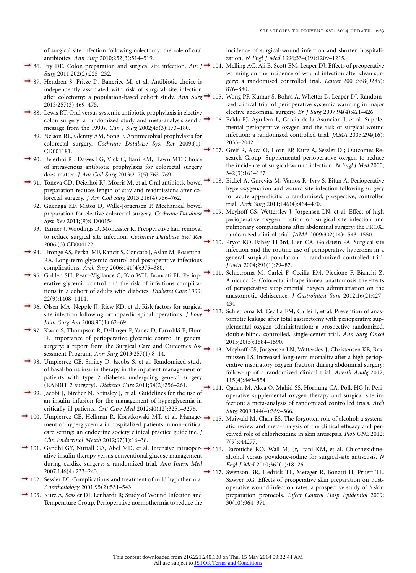of surgical site infection following colectomy: the role of oral antibiotics. *Ann Surg* 2010;252(3):514–519.

- 86. Fry DE. Colon preparation and surgical site infection. Am J<sup>1</sup> 104. Melling AC, Ali B, Scott EM, Leaper DJ. Effects of preoperative *Surg* 2011;202(2):225–232.
- 87. Hendren S, Fritze D, Banerjee M, et al. Antibiotic choice is independently associated with risk of surgical site infection 2013;257(3):469–475.
- 88. Lewis RT. Oral versus systemic antibiotic prophylaxis in elective message from the 1990s. *Can J Surg* 2002;45(3):173–180.
	- 89. Nelson RL, Glenny AM, Song F. Antimicrobial prophylaxis for colorectal surgery. *Cochrane Database Syst Rev* 2009;(1): CD001181.
- 90. Deierhoi RJ, Dawes LG, Vick C, Itani KM, Hawn MT. Choice of intravenous antibiotic prophylaxis for colorectal surgery does matter. *J Am Coll Surg* 2013;217(5):763–769.
- $\rightarrow$  91. Toneva GD, Deierhoi RJ, Morris M, et al. Oral antibiotic bowel  $\rightarrow$  108. preparation reduces length of stay and readmissions after colorectal surgery. *J Am Coll Surg* 2013;216(4):756–762.
	- 92. Guenaga KF, Matos D, Wille-Jorgensen P. Mechanical bowel preparation for elective colorectal surgery. *Cochrane Database Syst Rev* 2011;(9):CD001544.
	- 93. Tanner J, Woodings D, Moncaster K. Preoperative hair removal to reduce surgical site infection. *Cochrane Database Syst Rev* 110. 2006;(3):CD004122.
- 94. Dronge AS, Perkal MF, Kancir S, Concato J, Aslan M, Rosenthal RA. Long-term glycemic control and postoperative infectious complications. *Arch Surg* 2006;141(4):375–380.
- 95. Golden SH, Peart-Vigilance C, Kao WH, Brancati FL. Perioperative glycemic control and the risk of infectious complications in a cohort of adults with diabetes. *Diabetes Care* 1999; 22(9):1408–1414.
- 96. Olsen MA, Nepple JJ, Riew KD, et al. Risk factors for surgical site infection following orthopaedic spinal operations. *J Bone Joint Surg Am* 2008;90(1):62–69.
- 97. Kwon S, Thompson R, Dellinger P, Yanez D, Farrohki E, Flum D. Importance of perioperative glycemic control in general  $s$ . Information of performance of performance of the Surgical Care and Outcomes As-<br>surgery: a report from the Surgical Care and Outcomes Assessment Program. *Ann Surg* 2013;257(1):8–14.
- 98. Umpierrez GE, Smiley D, Jacobs S, et al. Randomized study of basal-bolus insulin therapy in the inpatient management of patients with type 2 diabetes undergoing general surgery (RABBIT 2 surgery). *Diabetes Care* 2011;34(2):256–261.
- 99. Jacobi J, Bircher N, Krinsley J, et al. Guidelines for the use of an insulin infusion for the management of hyperglycemia in critically ill patients. *Crit Care Med* 2012;40(12):3251–3276.
- 100. Umpierrez GE, Hellman R, Korytkowski MT, et al. Manage- 115. Maiwald M, Chan ES. The forgotten role of alcohol: a systemment of hyperglycemia in hospitalized patients in non–critical care setting: an endocrine society clinical practice guideline. *J Clin Endocrinol Metab* 2012;97(1):16–38.
- 101. Gandhi GY, Nuttall GA, Abel MD, et al. Intensive intraoper-116. Darouiche RO, Wall MJ Jr, Itani KM, et al. Chlorhexidineative insulin therapy versus conventional glucose management during cardiac surgery: a randomized trial. *Ann Intern Med* 2007;146(4):233–243.
- 102. Sessler DI. Complications and treatment of mild hypothermia. *Anesthesiology* 2001;95(2):531–543.
- 103. Kurz A, Sessler DI, Lenhardt R; Study of Wound Infection and Temperature Group. Perioperative normothermia to reduce the

incidence of surgical-wound infection and shorten hospitalization. *N Engl J Med* 1996;334(19):1209–1215.

- warming on the incidence of wound infection after clean surgery: a randomised controlled trial. *Lancet* 2001;358(9285): 876–880.
- after colectomy: a population-based cohort study. *Ann Surg* 105. Wong PF, Kumar S, Bohra A, Whetter D, Leaper DJ. Randomized clinical trial of perioperative systemic warming in major elective abdominal surgery. *Br J Surg* 2007;94(4):421–426.
- colon surgery: a randomized study and meta-analysis send a 106. Belda FJ, Aguilera L, Garcia de la Asuncion J, et al. Supplemental perioperative oxygen and the risk of surgical wound infection: a randomized controlled trial. *JAMA* 2005;294(16): 2035–2042.
	- → 107. Greif R, Akca O, Horn EP, Kurz A, Sessler DI; Outcomes Research Group. Supplemental perioperative oxygen to reduce the incidence of surgical-wound infection. *N Engl J Med* 2000; 342(3):161–167.
		- Bickel A, Gurevits M, Vamos R, Ivry S, Eitan A. Perioperative hyperoxygenation and wound site infection following surgery for acute appendicitis: a randomized, prospective, controlled trial. *Arch Surg* 2011;146(4):464–470.
	- <sup>1</sup> 109. Meyhoff CS, Wetterslev J, Jorgensen LN, et al. Effect of high perioperative oxygen fraction on surgical site infection and pulmonary complications after abdominal surgery: the PROXI randomized clinical trial. *JAMA* 2009;302(14):1543–1550.
		- Pryor KO, Fahey TJ 3rd, Lien CA, Goldstein PA. Surgical site infection and the routine use of perioperative hyperoxia in a general surgical population: a randomized controlled trial. *JAMA* 2004;291(1):79–87.
	- 111. Schietroma M, Carlei F, Cecilia EM, Piccione F, Bianchi Z, Amicucci G. Colorectal infraperitoneal anastomosis: the effects of perioperative supplemental oxygen administration on the anastomotic dehiscence. *J Gastrointest Surg* 2012;16(2):427– 434.
	- 112. Schietroma M, Cecilia EM, Carlei F, et al. Prevention of anastomotic leakage after total gastrectomy with perioperative supplemental oxygen administration: a prospective randomized, double-blind, controlled, single-center trial. *Ann Surg Oncol*
	- 113. Meyhoff CS, Jorgensen LN, Wetterslev J, Christensen KB, Rasmussen LS. Increased long-term mortality after a high perioperative inspiratory oxygen fraction during abdominal surgery: follow-up of a randomized clinical trial. *Anesth Analg* 2012; 115(4):849–854.
	- 114. Qadan M, Akca O, Mahid SS, Hornung CA, Polk HC Jr. Perioperative supplemental oxygen therapy and surgical site infection: a meta-analysis of randomized controlled trials. *Arch Surg* 2009;144(4):359–366.
		- atic review and meta-analysis of the clinical efficacy and perceived role of chlorhexidine in skin antisepsis. *PloS ONE* 2012; 7(9):e44277.
		- alcohol versus povidone-iodine for surgical-site antisepsis. *N Engl J Med* 2010;362(1):18–26.
	- 117. Swenson BR, Hedrick TL, Metzger R, Bonatti H, Pruett TL, Sawyer RG. Effects of preoperative skin preparation on postoperative wound infection rates: a prospective study of 3 skin preparation protocols. *Infect Control Hosp Epidemiol* 2009; 30(10):964–971.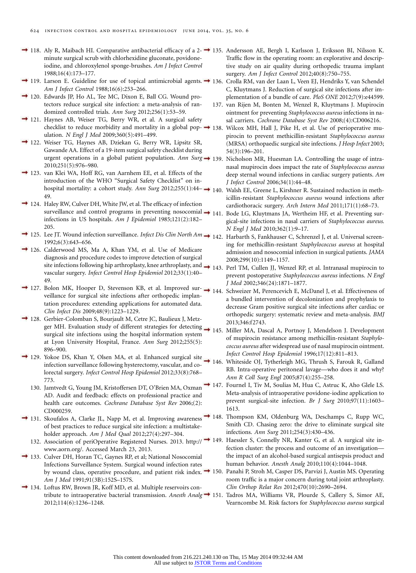- 118. Aly R, Maibach HI. Comparative antibacterial efficacy of a 2- 135. Andersson AE, Bergh I, Karlsson J, Eriksson BI, Nilsson K. minute surgical scrub with chlorhexidine gluconate, povidoneiodine, and chloroxylenol sponge-brushes. *Am J Infect Control* 1988;16(4):173–177.
- 119. Larson E. Guideline for use of topical antimicrobial agents. 136. Crolla RM, van der Laan L, Veen EJ, Hendriks Y, van Schendel *Am J Infect Control* 1988;16(6):253–266.
- <sup>1</sup> 120. Edwards JP, Ho AL, Tee MC, Dixon E, Ball CG. Wound protectors reduce surgical site infection: a meta-analysis of randomized controlled trials. *Ann Surg* 2012;256(1):53–59.
- 121. Haynes AB, Weiser TG, Berry WR, et al. A surgical safety ulation. *N Engl J Med* 2009;360(5):491–499.
- 122. Weiser TG, Haynes AB, Dziekan G, Berry WR, Lipsitz SR, Gawande AA. Effect of a 19-item surgical safety checklist during urgent operations in a global patient population. *Ann Surg* 139. Nicholson MR, Huesman LA. Controlling the usage of intra-2010;251(5):976–980.
- 123. van Klei WA, Hoff RG, van Aarnhem EE, et al. Effects of the introduction of the WHO "Surgical Safety Checklist" on inhospital mortality: a cohort study. *Ann Surg* 2012;255(1):44– 140. Walsh EE, Greene L, Kirshner R. Sustained reduction in meth-49.
- <sup>1</sup> 124. Haley RW, Culver DH, White JW, et al. The efficacy of infection surveillance and control programs in preventing nosocomial  $\rightarrow$  141. infections in US hospitals. *Am J Epidemiol* 1985;121(2):182– 205.
- 125. Lee JT. Wound infection surveillance. *Infect Dis Clin North Am* 142. Harbarth S, Fankhauser C, Schrenzel J, et al. Universal screen-1992;6(3):643–656.
- 126. Calderwood MS, Ma A, Khan YM, et al. Use of Medicare diagnosis and procedure codes to improve detection of surgical site infections following hip arthroplasty, knee arthroplasty, and  $\rightarrow$  143. Perl TM, Cullen JJ, Wenzel RP, et al. Intranasal mupirocin to vascular surgery. *Infect Control Hosp Epidemiol* 2012;33(1):40– 49.
- 127. Bolon MK, Hooper D, Stevenson KB, et al. Improved sur-144. Schweizer M, Perencevich E, McDanel J, et al. Effectiveness of veillance for surgical site infections after orthopedic implantation procedures: extending applications for automated data. *Clin Infect Dis* 2009;48(9):1223–1229.
- 128. Gerbier-Colomban S, Bourjault M, Cetre JC, Baulieux J, Metzger MH. Evaluation study of different strategies for detecting 145 Miller MA Dec surgical site infections using the hospital information system at Lyon University Hospital, France. *Ann Surg* 2012;255(5): 896–900.
- 129. Yokoe DS, Khan Y, Olsen MA, et al. Enhanced surgical site infection surveillance following hysterectomy, vascular, and colorectal surgery. *Infect Control Hosp Epidemiol* 2012;33(8):768– 773.
	- 130. Jamtvedt G, Young JM, Kristoffersen DT, O'Brien MA, Oxman AD. Audit and feedback: effects on professional practice and health care outcomes. *Cochrane Database Syst Rev* 2006;(2): CD000259.
- 131. Skoufalos A, Clarke JL, Napp M, et al. Improving awareness of best practices to reduce surgical site infection: a multistakeholder approach. *Am J Med Qual* 2012;27(4):297–304.
	- [www.aorn.org/.](http://www.aorn.org/) Accessed March 23, 2013.
- 133. Culver DH, Horan TC, Gaynes RP, et al; National Nosocomial Infections Surveillance System. Surgical wound infection rates by wound class, operative procedure, and patient risk index.  $\rightarrow$  150. *Am J Med* 1991;91(3B):152S–157S.
- 134. Loftus RW, Brown JR, Koff MD, et al. Multiple reservoirs contribute to intraoperative bacterial transmission. *Anesth Analg* 2012;114(6):1236–1248.
- Traffic flow in the operating room: an explorative and descriptive study on air quality during orthopedic trauma implant surgery. *Am J Infect Control* 2012;40(8):750–755.
- C, Kluytmans J. Reduction of surgical site infections after implementation of a bundle of care. *PloS ONE* 2012;7(9):e44599.
- 137. van Rijen M, Bonten M, Wenzel R, Kluytmans J. Mupirocin ointment for preventing *Staphylococcus aureus* infections in nasal carriers. *Cochrane Database Syst Rev* 2008;(4):CD006216.
- checklist to reduce morbidity and mortality in a global pop-138. Wilcox MH, Hall J, Pike H, et al. Use of perioperative mupirocin to prevent methicillin-resistant *Staphylococcus aureus* (MRSA) orthopaedic surgical site infections. *J Hosp Infect* 2003; 54(3):196–201.
	- nasal mupirocin does impact the rate of *Staphylococcus aureus* deep sternal wound infections in cardiac surgery patients. *Am J Infect Control* 2006;34(1):44–48.
	- icillin-resistant *Staphylococcus aureus* wound infections after cardiothoracic surgery. *Arch Intern Med* 2011;171(1):68–73.
	- Bode LG, Kluytmans JA, Wertheim HF, et al. Preventing surgical-site infections in nasal carriers of *Staphylococcus aureus*. *N Engl J Med* 2010;362(1):9–17.
	- ing for methicillin-resistant *Staphylococcus aureus* at hospital admission and nosocomial infection in surgical patients. *JAMA* 2008;299(10):1149–1157.
	- prevent postoperative *Staphylococcus aureus* infections. *N Engl J Med* 2002;346(24):1871–1877.
	- a bundled intervention of decolonization and prophylaxis to decrease Gram positive surgical site infections after cardiac or orthopedic surgery: systematic review and meta-analysis. *BMJ*
	- 145. Miller MA, Dascal A, Portnoy J, Mendelson J. Development of mupirocin resistance among methicillin-resistant *Staphylococcus aureus* after widespread use of nasal mupirocin ointment. *Infect Control Hosp Epidemiol* 1996;17(12):811–813.
	- 146. Whiteside OJ, Tytherleigh MG, Thrush S, Farouk R, Galland RB. Intra-operative peritoneal lavage—who does it and why? *Ann R Coll Surg Engl* 2005;87(4):255–258.
	- 147. Fournel I, Tiv M, Soulias M, Hua C, Astruc K, Aho Glele LS. Meta-analysis of intraoperative povidone-iodine application to prevent surgical-site infection. *Br J Surg* 2010;97(11):1603– 1613.
	- 148. Thompson KM, Oldenburg WA, Deschamps C, Rupp WC, Smith CD. Chasing zero: the drive to eliminate surgical site infections. *Ann Surg* 2011;254(3):430–436.
- 132. Association of periOperative Registered Nurses. 2013. [http://](http://www.aorn.org/) 149. Haessler S, Connelly NR, Kanter G, et al. A surgical site infection cluster: the process and outcome of an investigation the impact of an alcohol-based surgical antisepsis product and human behavior. *Anesth Analg* 2010;110(4):1044–1048.
	- Panahi P, Stroh M, Casper DS, Parvizi J, Austin MS. Operating room traffic is a major concern during total joint arthroplasty. *Clin Orthop Relat Res* 2012;470(10):2690–2694.
	- Tadros MA, Williams VR, Plourde S, Callery S, Simor AE, Vearncombe M. Risk factors for *Staphylococcus aureus* surgical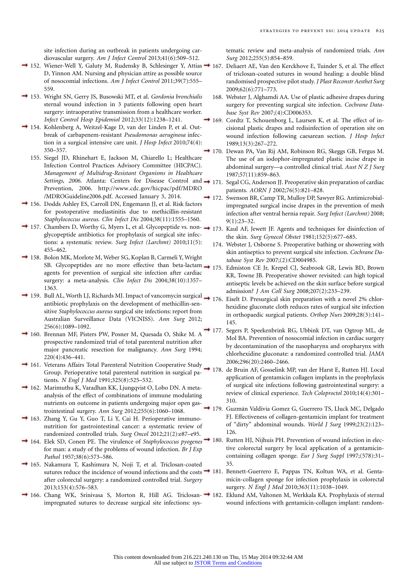site infection during an outbreak in patients undergoing cardiovascular surgery. *Am J Infect Control* 2013;41(6):509–512.

- 152. Wiener-Well Y, Galuty M, Rudensky B, Schlesinger Y, Attias 167. Deliaert AE, Van den Kerckhove E, Tuinder S, et al. The effect D, Yinnon AM. Nursing and physician attire as possible source of nosocomial infections. *Am J Infect Control* 2011;39(7):555– 559.
- 153. Wright SN, Gerry JS, Busowski MT, et al. *Gordonia bronchialis* sternal wound infection in 3 patients following open heart surgery: intraoperative transmission from a healthcare worker. *Infect Control Hosp Epidemiol* 2012;33(12):1238–1241.
- 154. Kohlenberg A, Weitzel-Kage D, van der Linden P, et al. Outbreak of carbapenem-resistant *Pseudomonas aeruginosa* infection in a surgical intensive care unit. *J Hosp Infect* 2010;74(4): 350–357.
	- 155. Siegel JD, Rhinehart E, Jackson M, Chiarello L; Healthcare Infection Control Practices Advisory Committee (HICPAC). *Management of Multidrug-Resistant Organisms in Healthcare* Settings, 2006. Atlanta: Centers for Disease Control and <sup>1</sup>171. Segal CG, Anderson JJ. Preoperative skin preparation of cardiac Prevention, 2006. [http://www.cdc.gov/hicpac/pdf/MDRO](http://www.cdc.gov/hicpac/pdf/MDRO/MDROGuideline2006.pdf) [/MDROGuideline2006.pdf.](http://www.cdc.gov/hicpac/pdf/MDRO/MDROGuideline2006.pdf) Accessed January 3, 2014.
- → 156. Dodds Ashley ES, Carroll DN, Engemann JJ, et al. Risk factors for postoperative mediastinitis due to methicillin-resistant *Staphylococcus aureus*. *Clin Infect Dis* 2004;38(11):1555–1560.
- $\rightarrow$  157. Chambers D, Worthy G, Myers L, et al. Glycopeptide vs. non- $\rightarrow$  173. glycopeptide antibiotics for prophylaxis of surgical site infections: a systematic review. *Surg Infect (Larchmt)* 2010;11(5): 455–462.
- → 158. Bolon MK, Morlote M, Weber SG, Koplan B, Carmeli Y, Wright SB. Glycopeptides are no more effective than beta-lactam 175. Edmiston CE Jr, Krepel CJ, Seabrook GR, Lewis BD, Brown agents for prevention of surgical site infection after cardiac surgery: a meta-analysis. *Clin Infect Dis* 2004;38(10):1357– 1363.
- 159. Bull AL, Worth LJ, Richards MJ. Impact of vancomycin surgical  $\rightarrow$  176. Eiselt D. Presurgical skin preparation with a novel 2% chlorantibiotic prophylaxis on the development of methicillin-sensitive *Staphylococcus aureus* surgical site infections: report from Australian Surveillance Data (VICNISS). *Ann Surg* 2012; 256(6):1089–1092.
- 160. Brennan MF, Pisters PW, Posner M, Quesada O, Shike M. A prospective randomized trial of total parenteral nutrition after major pancreatic resection for malignancy. *Ann Surg* 1994; 220(4):436–441.
- 161. Veterans Affairs Total Parenteral Nutrition Cooperative Study Group. Perioperative total parenteral nutrition in surgical patients. *N Engl J Med* 1991;325(8):525–532.
- 162. Marimuthu K, Varadhan KK, Ljungqvist O, Lobo DN. A metaanalysis of the effect of combinations of immune modulating nutrients on outcome in patients undergoing major open gastrointestinal surgery. *Ann Surg* 2012;255(6):1060–1068.
- 163. Zhang Y, Gu Y, Guo T, Li Y, Cai H. Perioperative immunonutrition for gastrointestinal cancer: a systematic review of randomized controlled trials. *Surg Oncol* 2012;21(2):e87–e95.
- for man: a study of the problems of wound infection. *Br J Exp Pathol* 1957;38(6):573–586.
- 165. Nakamura T, Kashimura N, Noji T, et al. Triclosan-coated after colorectal surgery: a randomized controlled trial. *Surgery* 2013;153(4):576–583.
- 166. Chang WK, Srinivasa S, Morton R, Hill AG. Triclosan-182. Eklund AM, Valtonen M, Werkkala KA. Prophylaxis of sternal impregnated sutures to decrease surgical site infections: sys-

tematic review and meta-analysis of randomized trials. *Ann Surg* 2012;255(5):854–859.

- of triclosan-coated sutures in wound healing: a double blind randomised prospective pilot study. *J Plast Reconstr Aesthet Surg* 2009;62(6):771–773.
- 168. Webster J, Alghamdi AA. Use of plastic adhesive drapes during surgery for preventing surgical site infection. *Cochrane Database Syst Rev* 2007;(4):CD006353.
- 169. Cordtz T, Schouenborg L, Laursen K, et al. The effect of incisional plastic drapes and redisinfection of operation site on wound infection following caesarean section. *J Hosp Infect* 1989;13(3):267–272.
- 170. Dewan PA, Van Rij AM, Robinson RG, Skeggs GB, Fergus M. The use of an iodophor-impregnated plastic incise drape in abdominal surgery—a controlled clinical trial. *Aust N Z J Surg* 1987;57(11):859–863.
- patients. *AORN J* 2002;76(5):821–828.
- 172. Swenson BR, Camp TR, Mulloy DP, Sawyer RG. Antimicrobialimpregnated surgical incise drapes in the prevention of mesh infection after ventral hernia repair. *Surg Infect (Larchmt)* 2008; 9(1):23–32.
- Kaul AF, Jewett JF. Agents and techniques for disinfection of the skin. *Surg Gynecol Obstet* 1981;152(5):677–685.
- 174. Webster J, Osborne S. Preoperative bathing or showering with skin antiseptics to prevent surgical site infection. *Cochrane Database Syst Rev* 2007;(2):CD004985.
- KR, Towne JB. Preoperative shower revisited: can high topical antiseptic levels be achieved on the skin surface before surgical admission? *J Am Coll Surg* 2008;207(2):233–239.
- hexidine gluconate cloth reduces rates of surgical site infection in orthopaedic surgical patients. *Orthop Nurs* 2009;28(3):141– 145.
- 177. Segers P, Speekenbrink RG, Ubbink DT, van Ogtrop ML, de Mol BA. Prevention of nosocomial infection in cardiac surgery by decontamination of the nasopharynx and oropharynx with chlorhexidine gluconate: a randomized controlled trial. *JAMA* 2006;296(20):2460–2466.
- 178. de Bruin AF, Gosselink MP, van der Harst E, Rutten HJ. Local application of gentamicin collagen implants in the prophylaxis of surgical site infections following gastrointestinal surgery: a review of clinical experience. *Tech Coloproctol* 2010;14(4):301– 310.
- → 179. Guzmán Valdivia Gomez G, Guerrero TS, Lluck MC, Delgado FJ. Effectiveness of collagen-gentamicin implant for treatment of "dirty" abdominal wounds. *World J Surg* 1999;23(2):123– 126.
- 164. Elek SD, Conen PE. The virulence of *Staphylococcus pyogenes* 180. Rutten HJ, Nijhuis PH. Prevention of wound infection in elective colorectal surgery by local application of a gentamicincontaining collagen sponge. *Eur J Surg Suppl* 1997;(578):31– 35.
	- sutures reduce the incidence of wound infections and the costs 181. Bennett-Guerrero E, Pappas TN, Koltun WA, et al. Gentamicin-collagen sponge for infection prophylaxis in colorectal surgery. *N Engl J Med* 2010;363(11):1038–1049.
		- wound infections with gentamicin-collagen implant: random-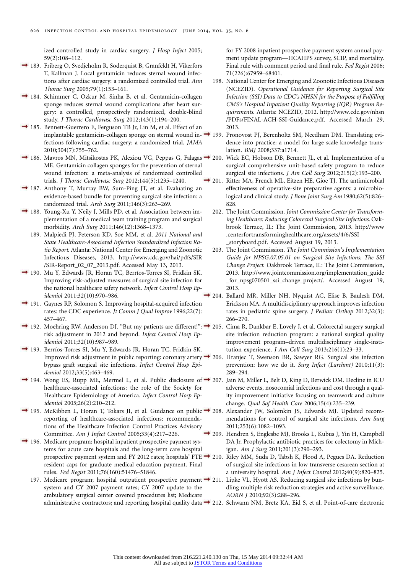ized controlled study in cardiac surgery. *J Hosp Infect* 2005; 59(2):108–112.

- 183. Friberg O, Svedjeholm R, Soderquist B, Granfeldt H, Vikerfors T, Kallman J. Local gentamicin reduces sternal wound infections after cardiac surgery: a randomized controlled trial. *Ann Thorac Surg* 2005;79(1):153–161.
- 184. Schimmer C, Ozkur M, Sinha B, et al. Gentamicin-collagen sponge reduces sternal wound complications after heart surgery: a controlled, prospectively randomized, double-blind study. *J Thorac Cardiovasc Surg* 2012;143(1):194–200.
- 185. Bennett-Guerrero E, Ferguson TB Jr, Lin M, et al. Effect of an fections following cardiac surgery: a randomized trial. *JAMA* 2010;304(7):755–762.
- 186. Mavros MN, Mitsikostas PK, Alexiou VG, Peppas G, Falagas 200. Wick EC, Hobson DB, Bennett JL, et al. Implementation of a ME. Gentamicin collagen sponges for the prevention of sternal wound infection: a meta-analysis of randomized controlled trials. *J Thorac Cardiovasc Surg* 2012;144(5):1235–1240.
- 187. Anthony T, Murray BW, Sum-Ping JT, et al. Evaluating an evidence-based bundle for preventing surgical site infection: a randomized trial. *Arch Surg* 2011;146(3):263–269.
- 188. Young-Xu Y, Neily J, Mills PD, et al. Association between implementation of a medical team training program and surgical morbidity. *Arch Surg* 2011;146(12):1368–1373.
	- 189. Malpiedi PJ, Peterson KD, Soe MM, et al. *2011 National and State Healthcare-Associated Infection Standardized Infection Ratio Report*. Atlanta: National Center for Emerging and Zoonotic Infectious Diseases, 2013. [http://www.cdc.gov/hai/pdfs/SIR](http://www.cdc.gov/hai/pdfs/SIR/SIR-Report_02_07_2013.pdf) [/SIR-Report\\_02\\_07\\_2013.pdf.](http://www.cdc.gov/hai/pdfs/SIR/SIR-Report_02_07_2013.pdf) Accessed May 13, 2013.
- 190. Mu Y, Edwards JR, Horan TC, Berrı´os-Torres SI, Fridkin SK. Improving risk-adjusted measures of surgical site infection for the national healthcare safety network. *Infect Control Hosp Epidemiol* 2011;32(10):970–986.
- 191. Gaynes RP, Solomon S. Improving hospital-acquired infection rates: the CDC experience. *Jt Comm J Qual Improv* 1996;22(7): 457–467.
- 192. Moehring RW, Anderson DJ. "But my patients are different!": 205. Cima R, Dankbar E, Lovely J, et al. Colorectal surgery surgical risk adjustment in 2012 and beyond. *Infect Control Hosp Epidemiol* 2011;32(10):987–989.
- → 193. Berríos-Torres SI, Mu Y, Edwards JR, Horan TC, Fridkin SK. bypass graft surgical site infections. *Infect Control Hosp Epidemiol* 2012;33(5):463–469.
- 194. Wong ES, Rupp ME, Mermel L, et al. Public disclosure of 207. Jain M, Miller L, Belt D, King D, Berwick DM. Decline in ICU healthcare-associated infections: the role of the Society for Healthcare Epidemiology of America. *Infect Control Hosp Epidemiol* 2005;26(2):210–212.
- 195. McKibben L, Horan T, Tokars JI, et al. Guidance on public 208. Alexander JW, Solomkin JS, Edwards MJ. Updated recomreporting of healthcare-associated infections: recommendations of the Healthcare Infection Control Practices Advisory Committee. *Am J Infect Control* 2005;33(4):217–226.
- $\rightarrow$  196. Medicare program; hospital inpatient prospective payment systems for acute care hospitals and the long-term care hospital resident caps for graduate medical education payment. Final rules. *Fed Regist* 2011;76(160):51476–51846.
	- 197. Medicare program; hospital outpatient prospective payment 211. Lipke VL, Hyott AS. Reducing surgical site infections by bunsystem and CY 2007 payment rates; CY 2007 update to the ambulatory surgical center covered procedures list; Medicare

for FY 2008 inpatient prospective payment system annual payment update program—HCAHPS survey, SCIP, and mortality. Final rule with comment period and final rule. *Fed Regist* 2006; 71(226):67959–68401.

- 198. National Center for Emerging and Zoonotic Infectious Diseases (NCEZID). *Operational Guidance for Reporting Surgical Site Infection (SSI) Data to CDC's NHSN for the Purpose of Fulfilling CMS's Hospital Inpatient Quality Reporting (IQR) Program Requirements*. Atlanta: NCEZID, 2012. [http://www.cdc.gov/nhsn](http://www.cdc.gov/nhsn/PDFs/FINAL-ACH-SSI-Guidance.pdf) [/PDFs/FINAL-ACH-SSI-Guidance.pdf.](http://www.cdc.gov/nhsn/PDFs/FINAL-ACH-SSI-Guidance.pdf) Accessed March 29, 2013.
- implantable gentamicin-collagen sponge on sternal wound in-199. Pronovost PJ, Berenholtz SM, Needham DM. Translating evidence into practice: a model for large scale knowledge translation. *BMJ* 2008;337:a1714.
	- surgical comprehensive unit-based safety program to reduce surgical site infections. *J Am Coll Surg* 2012;215(2):193–200.
	- → 201. Ritter MA, French ML, Eitzen HE, Gioe TJ. The antimicrobial effectiveness of operative-site preparative agents: a microbiological and clinical study. *J Bone Joint Surg Am* 1980;62(5):826– 828.
		- 202. The Joint Commission. *Joint Commission Center for Transforming Healthcare: Reducing Colorectal Surgical Site Infections*. Oakbrook Terrace, IL: The Joint Commission, 2013. [http://www](http://www.centerfortransforminghealthcare.org/assets/4/6/SSI_storyboard.pdf) [.centerfortransforminghealthcare.org/assets/4/6/SSI](http://www.centerfortransforminghealthcare.org/assets/4/6/SSI_storyboard.pdf) [\\_storyboard.pdf.](http://www.centerfortransforminghealthcare.org/assets/4/6/SSI_storyboard.pdf) Accessed August 19, 2013.
		- 203. The Joint Commission. *The Joint Commission's Implementation Guide for NPSG.07.05.01 on Surgical Site Infections: The SSI Change Project*. Oakbrook Terrace, IL: The Joint Commission, 2013. [http://www.jointcommission.org/implementation\\_guide](http://www.jointcommission.org/implementation_guide_for_npsg070501_ssi_change_project/) [\\_for\\_npsg070501\\_ssi\\_change\\_project/.](http://www.jointcommission.org/implementation_guide_for_npsg070501_ssi_change_project/) Accessed August 19, 2013.
	- → 204. Ballard MR, Miller NH, Nyquist AC, Elise B, Baulesh DM, Erickson MA. A multidisciplinary approach improves infection rates in pediatric spine surgery. *J Pediatr Orthop* 2012;32(3): 266–270.
		- site infection reduction program: a national surgical quality improvement program–driven multidisciplinary single-institution experience. *J Am Coll Surg* 2013;216(1):23–33.
- Improved risk adjustment in public reporting: coronary artery 206. Hranjec T, Swenson BR, Sawyer RG. Surgical site infection prevention: how we do it. *Surg Infect (Larchmt)* 2010;11(3): 289–294.
	- adverse events, nosocomial infections and cost through a quality improvement initiative focusing on teamwork and culture change. *Qual Saf Health Care* 2006;15(4):235–239.
	- mendations for control of surgical site infections. *Ann Surg* 2011;253(6):1082–1093.
	- → 209. Hendren S, Englesbe MJ, Brooks L, Kubus J, Yin H, Campbell DA Jr. Prophylactic antibiotic practices for colectomy in Michigan. *Am J Surg* 2011;201(3):290–293.
- prospective payment system and FY 2012 rates; hospitals' FTE 210. Riley MM, Suda D, Tabsh K, Flood A, Pegues DA. Reduction of surgical site infections in low transverse cesarean section at a university hospital. *Am J Infect Control* 2012;40(9):820–825.
	- dling multiple risk reduction strategies and active surveillance. *AORN J* 2010;92(3):288–296.
- administrative contractors; and reporting hospital quality data 212. Schwann NM, Bretz KA, Eid S, et al. Point-of-care electronic